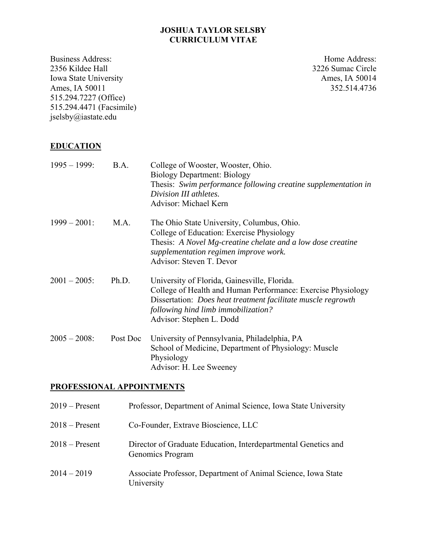### **JOSHUA TAYLOR SELSBY CURRICULUM VITAE**

Business Address: 2356 Kildee Hall Iowa State University Ames, IA 50011 515.294.7227 (Office) 515.294.4471 (Facsimile) jselsby@iastate.edu

Home Address: 3226 Sumac Circle Ames, IA 50014 352.514.4736

## **EDUCATION**

| $1995 - 1999$ : | B.A.     | College of Wooster, Wooster, Ohio.<br><b>Biology Department: Biology</b><br>Thesis: Swim performance following creatine supplementation in<br>Division III athletes.<br>Advisor: Michael Kern                                                          |
|-----------------|----------|--------------------------------------------------------------------------------------------------------------------------------------------------------------------------------------------------------------------------------------------------------|
| $1999 - 2001$ : | M.A.     | The Ohio State University, Columbus, Ohio.<br>College of Education: Exercise Physiology<br>Thesis: A Novel Mg-creatine chelate and a low dose creatine<br>supplementation regimen improve work.<br>Advisor: Steven T. Devor                            |
| $2001 - 2005$ : | Ph.D.    | University of Florida, Gainesville, Florida.<br>College of Health and Human Performance: Exercise Physiology<br>Dissertation: <i>Does heat treatment facilitate muscle regrowth</i><br>following hind limb immobilization?<br>Advisor: Stephen L. Dodd |
| $2005 - 2008$ : | Post Doc | University of Pennsylvania, Philadelphia, PA<br>School of Medicine, Department of Physiology: Muscle<br>Physiology<br>Advisor: H. Lee Sweeney                                                                                                          |

### **PROFESSIONAL APPOINTMENTS**

| $2019 -$ Present | Professor, Department of Animal Science, Iowa State University                     |
|------------------|------------------------------------------------------------------------------------|
| $2018 -$ Present | Co-Founder, Extrave Bioscience, LLC                                                |
| $2018 -$ Present | Director of Graduate Education, Interdepartmental Genetics and<br>Genomics Program |
| $2014 - 2019$    | Associate Professor, Department of Animal Science, Iowa State<br>University        |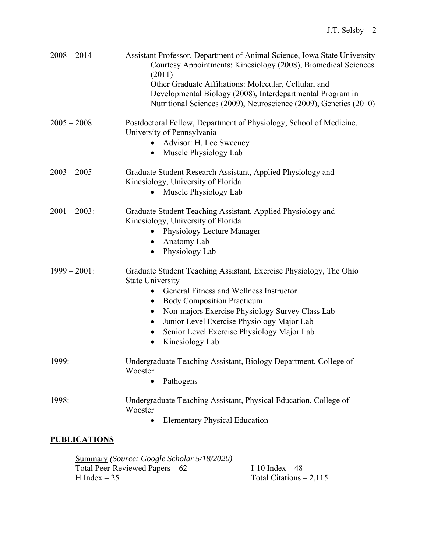| $2008 - 2014$       | Assistant Professor, Department of Animal Science, Iowa State University<br>Courtesy Appointments: Kinesiology (2008), Biomedical Sciences<br>(2011)<br>Other Graduate Affiliations: Molecular, Cellular, and<br>Developmental Biology (2008), Interdepartmental Program in<br>Nutritional Sciences (2009), Neuroscience (2009), Genetics (2010)             |
|---------------------|--------------------------------------------------------------------------------------------------------------------------------------------------------------------------------------------------------------------------------------------------------------------------------------------------------------------------------------------------------------|
| $2005 - 2008$       | Postdoctoral Fellow, Department of Physiology, School of Medicine,<br>University of Pennsylvania<br>Advisor: H. Lee Sweeney<br>Muscle Physiology Lab                                                                                                                                                                                                         |
| $2003 - 2005$       | Graduate Student Research Assistant, Applied Physiology and<br>Kinesiology, University of Florida<br>Muscle Physiology Lab<br>$\bullet$                                                                                                                                                                                                                      |
| $2001 - 2003$ :     | Graduate Student Teaching Assistant, Applied Physiology and<br>Kinesiology, University of Florida<br>Physiology Lecture Manager<br>Anatomy Lab<br>Physiology Lab                                                                                                                                                                                             |
| $1999 - 2001$ :     | Graduate Student Teaching Assistant, Exercise Physiology, The Ohio<br><b>State University</b><br>General Fitness and Wellness Instructor<br><b>Body Composition Practicum</b><br>$\bullet$<br>Non-majors Exercise Physiology Survey Class Lab<br>Junior Level Exercise Physiology Major Lab<br>Senior Level Exercise Physiology Major Lab<br>Kinesiology Lab |
| 1999:               | Undergraduate Teaching Assistant, Biology Department, College of<br>Wooster<br>Pathogens<br>$\bullet$                                                                                                                                                                                                                                                        |
| 1998:               | Undergraduate Teaching Assistant, Physical Education, College of<br>Wooster<br><b>Elementary Physical Education</b>                                                                                                                                                                                                                                          |
| <b>PUBLICATIONS</b> |                                                                                                                                                                                                                                                                                                                                                              |

| Summary (Source: Google Scholar 5/18/2020) |                          |
|--------------------------------------------|--------------------------|
| Total Peer-Reviewed Papers $-62$           | I-10 Index $-48$         |
| H Index $-25$                              | Total Citations $-2,115$ |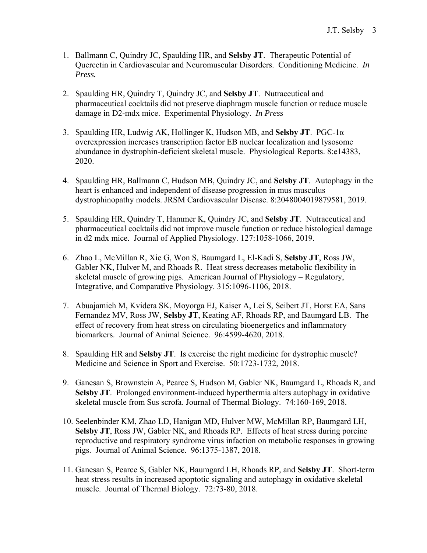- 1. Ballmann C, Quindry JC, Spaulding HR, and **Selsby JT**. Therapeutic Potential of Quercetin in Cardiovascular and Neuromuscular Disorders. Conditioning Medicine. *In Press.*
- 2. Spaulding HR, Quindry T, Quindry JC, and **Selsby JT**. Nutraceutical and pharmaceutical cocktails did not preserve diaphragm muscle function or reduce muscle damage in D2-mdx mice. Experimental Physiology. *In Press*
- 3. Spaulding HR, Ludwig AK, Hollinger K, Hudson MB, and **Selsby JT**. PGC-1α overexpression increases transcription factor EB nuclear localization and lysosome abundance in dystrophin-deficient skeletal muscle. Physiological Reports. 8:e14383, 2020.
- 4. Spaulding HR, Ballmann C, Hudson MB, Quindry JC, and **Selsby JT**. Autophagy in the heart is enhanced and independent of disease progression in mus musculus dystrophinopathy models. JRSM Cardiovascular Disease. 8:2048004019879581, 2019.
- 5. Spaulding HR, Quindry T, Hammer K, Quindry JC, and **Selsby JT**. Nutraceutical and pharmaceutical cocktails did not improve muscle function or reduce histological damage in d2 mdx mice. Journal of Applied Physiology. 127:1058-1066, 2019.
- 6. Zhao L, McMillan R, Xie G, Won S, Baumgard L, El-Kadi S, **Selsby JT**, Ross JW, Gabler NK, Hulver M, and Rhoads R. Heat stress decreases metabolic flexibility in skeletal muscle of growing pigs. American Journal of Physiology – Regulatory, Integrative, and Comparative Physiology. 315:1096-1106, 2018.
- 7. Abuajamieh M, Kvidera SK, Moyorga EJ, Kaiser A, Lei S, Seibert JT, Horst EA, Sans Fernandez MV, Ross JW, **Selsby JT**, Keating AF, Rhoads RP, and Baumgard LB. The effect of recovery from heat stress on circulating bioenergetics and inflammatory biomarkers. Journal of Animal Science. 96:4599-4620, 2018.
- 8. Spaulding HR and **Selsby JT**. Is exercise the right medicine for dystrophic muscle? Medicine and Science in Sport and Exercise. 50:1723-1732, 2018.
- 9. Ganesan S, Brownstein A, Pearce S, Hudson M, Gabler NK, Baumgard L, Rhoads R, and **Selsby JT**. Prolonged environment-induced hyperthermia alters autophagy in oxidative skeletal muscle from Sus scrofa. Journal of Thermal Biology. 74:160-169, 2018.
- 10. Seelenbinder KM, Zhao LD, Hanigan MD, Hulver MW, McMillan RP, Baumgard LH, **Selsby JT**, Ross JW, Gabler NK, and Rhoads RP. Effects of heat stress during porcine reproductive and respiratory syndrome virus infaction on metabolic responses in growing pigs. Journal of Animal Science. 96:1375-1387, 2018.
- 11. Ganesan S, Pearce S, Gabler NK, Baumgard LH, Rhoads RP, and **Selsby JT**. Short-term heat stress results in increased apoptotic signaling and autophagy in oxidative skeletal muscle. Journal of Thermal Biology. 72:73-80, 2018.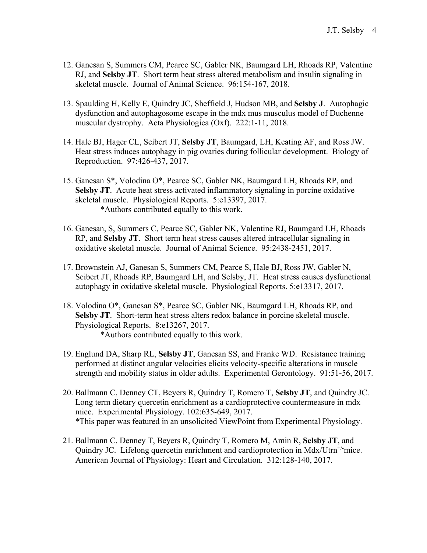- 12. Ganesan S, Summers CM, Pearce SC, Gabler NK, Baumgard LH, Rhoads RP, Valentine RJ, and **Selsby JT**. Short term heat stress altered metabolism and insulin signaling in skeletal muscle. Journal of Animal Science. 96:154-167, 2018.
- 13. Spaulding H, Kelly E, Quindry JC, Sheffield J, Hudson MB, and **Selsby J**. Autophagic dysfunction and autophagosome escape in the mdx mus musculus model of Duchenne muscular dystrophy. Acta Physiologica (Oxf). 222:1-11, 2018.
- 14. Hale BJ, Hager CL, Seibert JT, **Selsby JT**, Baumgard, LH, Keating AF, and Ross JW. Heat stress induces autophagy in pig ovaries during follicular development. Biology of Reproduction. 97:426-437, 2017.
- 15. Ganesan S\*, Volodina O\*, Pearce SC, Gabler NK, Baumgard LH, Rhoads RP, and **Selsby JT**. Acute heat stress activated inflammatory signaling in porcine oxidative skeletal muscle. Physiological Reports. 5:e13397, 2017. \*Authors contributed equally to this work.
- 16. Ganesan, S, Summers C, Pearce SC, Gabler NK, Valentine RJ, Baumgard LH, Rhoads RP, and **Selsby JT**. Short term heat stress causes altered intracellular signaling in oxidative skeletal muscle. Journal of Animal Science. 95:2438-2451, 2017.
- 17. Brownstein AJ, Ganesan S, Summers CM, Pearce S, Hale BJ, Ross JW, Gabler N, Seibert JT, Rhoads RP, Baumgard LH, and Selsby, JT. Heat stress causes dysfunctional autophagy in oxidative skeletal muscle. Physiological Reports. 5:e13317, 2017.
- 18. Volodina O\*, Ganesan S\*, Pearce SC, Gabler NK, Baumgard LH, Rhoads RP, and **Selsby JT**. Short-term heat stress alters redox balance in porcine skeletal muscle. Physiological Reports. 8:e13267, 2017. \*Authors contributed equally to this work.
- 19. Englund DA, Sharp RL, **Selsby JT**, Ganesan SS, and Franke WD. Resistance training performed at distinct angular velocities elicits velocity-specific alterations in muscle strength and mobility status in older adults. Experimental Gerontology. 91:51-56, 2017.
- 20. Ballmann C, Denney CT, Beyers R, Quindry T, Romero T, **Selsby JT**, and Quindry JC. Long term dietary quercetin enrichment as a cardioprotective countermeasure in mdx mice. Experimental Physiology. 102:635-649, 2017. \*This paper was featured in an unsolicited ViewPoint from Experimental Physiology.
- 21. Ballmann C, Denney T, Beyers R, Quindry T, Romero M, Amin R, **Selsby JT**, and Quindry JC. Lifelong quercetin enrichment and cardioprotection in Mdx/Utrn<sup>+/-</sup>mice. American Journal of Physiology: Heart and Circulation. 312:128-140, 2017.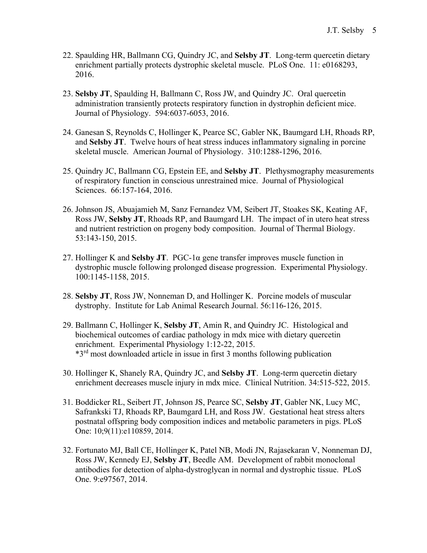- 22. Spaulding HR, Ballmann CG, Quindry JC, and **Selsby JT**. Long-term quercetin dietary enrichment partially protects dystrophic skeletal muscle. PLoS One. 11: e0168293, 2016.
- 23. **Selsby JT**, Spaulding H, Ballmann C, Ross JW, and Quindry JC. Oral quercetin administration transiently protects respiratory function in dystrophin deficient mice. Journal of Physiology. 594:6037-6053, 2016.
- 24. Ganesan S, Reynolds C, Hollinger K, Pearce SC, Gabler NK, Baumgard LH, Rhoads RP, and **Selsby JT**. Twelve hours of heat stress induces inflammatory signaling in porcine skeletal muscle. American Journal of Physiology. 310:1288-1296, 2016.
- 25. Quindry JC, Ballmann CG, Epstein EE, and **Selsby JT**. Plethysmography measurements of respiratory function in conscious unrestrained mice. Journal of Physiological Sciences. 66:157-164, 2016.
- 26. Johnson JS, Abuajamieh M, Sanz Fernandez VM, Seibert JT, Stoakes SK, Keating AF, Ross JW, **Selsby JT**, Rhoads RP, and Baumgard LH. The impact of in utero heat stress and nutrient restriction on progeny body composition. Journal of Thermal Biology. 53:143-150, 2015.
- 27. Hollinger K and **Selsby JT**. PGC-1α gene transfer improves muscle function in dystrophic muscle following prolonged disease progression. Experimental Physiology. 100:1145-1158, 2015.
- 28. **Selsby JT**, Ross JW, Nonneman D, and Hollinger K. Porcine models of muscular dystrophy. Institute for Lab Animal Research Journal. 56:116-126, 2015.
- 29. Ballmann C, Hollinger K, **Selsby JT**, Amin R, and Quindry JC. Histological and biochemical outcomes of cardiac pathology in mdx mice with dietary quercetin enrichment. Experimental Physiology 1:12-22, 2015. \*3rd most downloaded article in issue in first 3 months following publication
- 30. Hollinger K, Shanely RA, Quindry JC, and **Selsby JT**. Long-term quercetin dietary enrichment decreases muscle injury in mdx mice. Clinical Nutrition. 34:515-522, 2015.
- 31. Boddicker RL, Seibert JT, Johnson JS, Pearce SC, **Selsby JT**, Gabler NK, Lucy MC, Safrankski TJ, Rhoads RP, Baumgard LH, and Ross JW. Gestational heat stress alters postnatal offspring body composition indices and metabolic parameters in pigs. PLoS One: 10;9(11):e110859, 2014.
- 32. Fortunato MJ, Ball CE, Hollinger K, Patel NB, Modi JN, Rajasekaran V, Nonneman DJ, Ross JW, Kennedy EJ, **Selsby JT**, Beedle AM. Development of rabbit monoclonal antibodies for detection of alpha-dystroglycan in normal and dystrophic tissue. PLoS One. 9:e97567, 2014.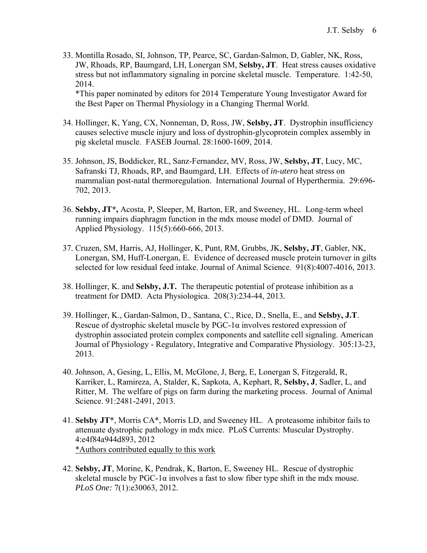33. Montilla Rosado, SI, Johnson, TP, Pearce, SC, Gardan-Salmon, D, Gabler, NK, Ross, JW, Rhoads, RP, Baumgard, LH, Lonergan SM, **Selsby, JT**. Heat stress causes oxidative stress but not inflammatory signaling in porcine skeletal muscle. Temperature. 1:42-50, 2014.

\*This paper nominated by editors for 2014 Temperature Young Investigator Award for the Best Paper on Thermal Physiology in a Changing Thermal World.

- 34. Hollinger, K, Yang, CX, Nonneman, D, Ross, JW, **Selsby, JT**. Dystrophin insufficiency causes selective muscle injury and loss of dystrophin-glycoprotein complex assembly in pig skeletal muscle. FASEB Journal. 28:1600-1609, 2014.
- 35. Johnson, JS, Boddicker, RL, Sanz-Fernandez, MV, Ross, JW, **Selsby, JT**, Lucy, MC, Safranski TJ, Rhoads, RP, and Baumgard, LH. Effects of *in-utero* heat stress on mammalian post-natal thermoregulation. International Journal of Hyperthermia. 29:696- 702, 2013.
- 36. **Selsby, JT\*,** Acosta, P, Sleeper, M, Barton, ER, and Sweeney, HL. Long-term wheel running impairs diaphragm function in the mdx mouse model of DMD. Journal of Applied Physiology. 115(5):660-666, 2013.
- 37. Cruzen, SM, Harris, AJ, Hollinger, K, Punt, RM, Grubbs, JK, **Selsby, JT**, Gabler, NK, Lonergan, SM, Huff-Lonergan, E. Evidence of decreased muscle protein turnover in gilts selected for low residual feed intake. Journal of Animal Science. 91(8):4007-4016, 2013.
- 38. Hollinger, K. and **Selsby, J.T.** The therapeutic potential of protease inhibition as a treatment for DMD. Acta Physiologica. 208(3):234-44, 2013*.*
- 39. Hollinger, K., Gardan-Salmon, D., Santana, C., Rice, D., Snella, E., and **Selsby, J.T**. Rescue of dystrophic skeletal muscle by PGC-1α involves restored expression of dystrophin associated protein complex components and satellite cell signaling. American Journal of Physiology - Regulatory, Integrative and Comparative Physiology. 305:13-23, 2013.
- 40. Johnson, A, Gesing, L, Ellis, M, McGlone, J, Berg, E, Lonergan S, Fitzgerald, R, Karriker, L, Ramireza, A, Stalder, K, Sapkota, A, Kephart, R, **Selsby, J**, Sadler, L, and Ritter, M. The welfare of pigs on farm during the marketing process. Journal of Animal Science. 91:2481-2491, 2013.
- 41. **Selsby JT**\*, Morris CA\*, Morris LD, and Sweeney HL. A proteasome inhibitor fails to attenuate dystrophic pathology in mdx mice. PLoS Currents: Muscular Dystrophy. 4:e4f84a944d893, 2012 \*Authors contributed equally to this work
- 42. **Selsby, JT**, Morine, K, Pendrak, K, Barton, E, Sweeney HL. Rescue of dystrophic skeletal muscle by PGC-1 $\alpha$  involves a fast to slow fiber type shift in the mdx mouse. *PLoS One:* 7(1):e30063, 2012.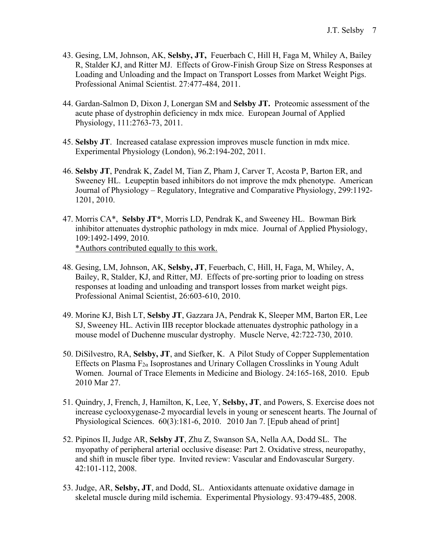- 43. Gesing, LM, Johnson, AK, **Selsby, JT,** Feuerbach C, Hill H, Faga M, Whiley A, Bailey R, Stalder KJ, and Ritter MJ. Effects of Grow-Finish Group Size on Stress Responses at Loading and Unloading and the Impact on Transport Losses from Market Weight Pigs. Professional Animal Scientist. 27:477-484, 2011.
- 44. Gardan-Salmon D, Dixon J, Lonergan SM and **Selsby JT.** Proteomic assessment of the acute phase of dystrophin deficiency in mdx mice. European Journal of Applied Physiology, 111:2763-73, 2011.
- 45. **Selsby JT**. Increased catalase expression improves muscle function in mdx mice. Experimental Physiology (London), 96.2:194-202, 2011.
- 46. **Selsby JT**, Pendrak K, Zadel M, Tian Z, Pham J, Carver T, Acosta P, Barton ER, and Sweeney HL. Leupeptin based inhibitors do not improve the mdx phenotype.American Journal of Physiology – Regulatory, Integrative and Comparative Physiology, 299:1192- 1201, 2010.
- 47. Morris CA\*, **Selsby JT\***, Morris LD, Pendrak K, and Sweeney HL. Bowman Birk inhibitor attenuates dystrophic pathology in mdx mice. Journal of Applied Physiology, 109:1492-1499, 2010. \*Authors contributed equally to this work.
- 48. Gesing, LM, Johnson, AK, **Selsby, JT**, Feuerbach, C, Hill, H, Faga, M, Whiley, A, Bailey, R, Stalder, KJ, and Ritter, MJ. Effects of pre-sorting prior to loading on stress responses at loading and unloading and transport losses from market weight pigs. Professional Animal Scientist, 26:603-610, 2010.
- 49. Morine KJ, Bish LT, **Selsby JT**, Gazzara JA, Pendrak K, Sleeper MM, Barton ER, Lee SJ, Sweeney HL. Activin IIB receptor blockade attenuates dystrophic pathology in a mouse model of Duchenne muscular dystrophy. Muscle Nerve, 42:722-730, 2010.
- 50. DiSilvestro, RA, **Selsby, JT**, and Siefker, K. A Pilot Study of Copper Supplementation Effects on Plasma  $F_{2\alpha}$  Isoprostanes and Urinary Collagen Crosslinks in Young Adult Women. Journal of Trace Elements in Medicine and Biology. 24:165-168, 2010. Epub 2010 Mar 27.
- 51. Quindry, J, French, J, Hamilton, K, Lee, Y, **Selsby, JT**, and Powers, S. Exercise does not increase cyclooxygenase-2 myocardial levels in young or senescent hearts. The Journal of Physiological Sciences. 60(3):181-6, 2010. 2010 Jan 7. [Epub ahead of print]
- 52. Pipinos II, Judge AR, **Selsby JT**, Zhu Z, Swanson SA, Nella AA, Dodd SL. The myopathy of peripheral arterial occlusive disease: Part 2. Oxidative stress, neuropathy, and shift in muscle fiber type. Invited review: Vascular and Endovascular Surgery. 42:101-112, 2008.
- 53. Judge, AR, **Selsby, JT**, and Dodd, SL. Antioxidants attenuate oxidative damage in skeletal muscle during mild ischemia. Experimental Physiology. 93:479-485, 2008.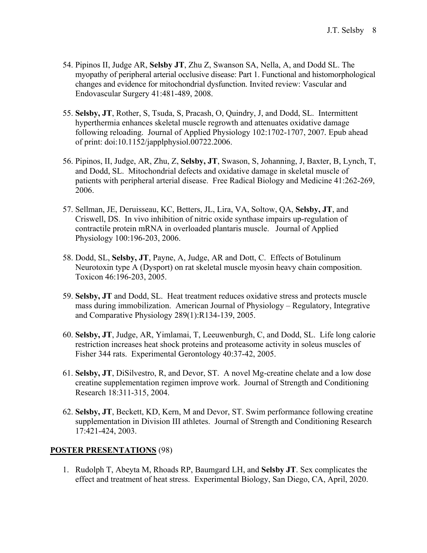- 54. Pipinos II, Judge AR, **Selsby JT**, Zhu Z, Swanson SA, Nella, A, and Dodd SL. The myopathy of peripheral arterial occlusive disease: Part 1. Functional and histomorphological changes and evidence for mitochondrial dysfunction. Invited review: Vascular and Endovascular Surgery 41:481-489, 2008.
- 55. **Selsby, JT**, Rother, S, Tsuda, S, Pracash, O, Quindry, J, and Dodd, SL. Intermittent hyperthermia enhances skeletal muscle regrowth and attenuates oxidative damage following reloading. Journal of Applied Physiology 102:1702-1707, 2007*.* Epub ahead of print: doi:10.1152/japplphysiol.00722.2006.
- 56. Pipinos, II, Judge, AR, Zhu, Z, **Selsby, JT**, Swason, S, Johanning, J, Baxter, B, Lynch, T, and Dodd, SL. Mitochondrial defects and oxidative damage in skeletal muscle of patients with peripheral arterial disease. Free Radical Biology and Medicine 41:262-269, 2006.
- 57. Sellman, JE, Deruisseau, KC, Betters, JL, Lira, VA, Soltow, QA, **Selsby, JT**, and Criswell, DS. In vivo inhibition of nitric oxide synthase impairs up-regulation of contractile protein mRNA in overloaded plantaris muscle. Journal of Applied Physiology 100:196-203, 2006.
- 58. Dodd, SL, **Selsby, JT**, Payne, A, Judge, AR and Dott, C. Effects of Botulinum Neurotoxin type A (Dysport) on rat skeletal muscle myosin heavy chain composition. Toxicon 46:196-203, 2005.
- 59. **Selsby, JT** and Dodd, SL. Heat treatment reduces oxidative stress and protects muscle mass during immobilization. American Journal of Physiology – Regulatory, Integrative and Comparative Physiology 289(1):R134-139, 2005.
- 60. **Selsby, JT**, Judge, AR, Yimlamai, T, Leeuwenburgh, C, and Dodd, SL. Life long calorie restriction increases heat shock proteins and proteasome activity in soleus muscles of Fisher 344 rats. Experimental Gerontology 40:37-42, 2005.
- 61. **Selsby, JT**, DiSilvestro, R, and Devor, ST. A novel Mg-creatine chelate and a low dose creatine supplementation regimen improve work. Journal of Strength and Conditioning Research 18:311-315, 2004.
- 62. **Selsby, JT**, Beckett, KD, Kern, M and Devor, ST. Swim performance following creatine supplementation in Division III athletes. Journal of Strength and Conditioning Research 17:421-424, 2003.

## **POSTER PRESENTATIONS** (98)

1. Rudolph T, Abeyta M, Rhoads RP, Baumgard LH, and **Selsby JT**. Sex complicates the effect and treatment of heat stress. Experimental Biology, San Diego, CA, April, 2020.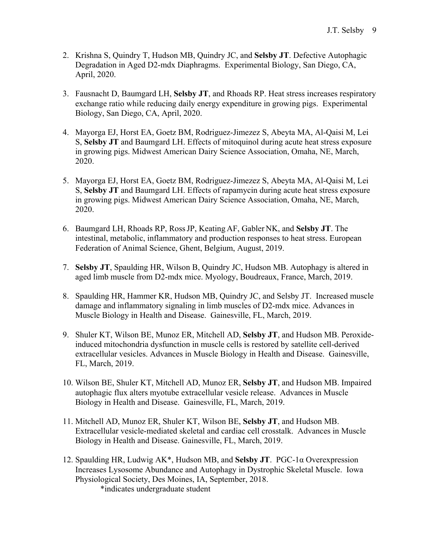- 2. Krishna S, Quindry T, Hudson MB, Quindry JC, and **Selsby JT**. Defective Autophagic Degradation in Aged D2-mdx Diaphragms. Experimental Biology, San Diego, CA, April, 2020.
- 3. Fausnacht D, Baumgard LH, **Selsby JT**, and Rhoads RP. Heat stress increases respiratory exchange ratio while reducing daily energy expenditure in growing pigs. Experimental Biology, San Diego, CA, April, 2020.
- 4. Mayorga EJ, Horst EA, Goetz BM, Rodriguez-Jimezez S, Abeyta MA, Al-Qaisi M, Lei S, **Selsby JT** and Baumgard LH. Effects of mitoquinol during acute heat stress exposure in growing pigs. Midwest American Dairy Science Association, Omaha, NE, March, 2020.
- 5. Mayorga EJ, Horst EA, Goetz BM, Rodriguez-Jimezez S, Abeyta MA, Al-Qaisi M, Lei S, **Selsby JT** and Baumgard LH. Effects of rapamycin during acute heat stress exposure in growing pigs. Midwest American Dairy Science Association, Omaha, NE, March, 2020.
- 6. Baumgard LH, Rhoads RP, RossJP, Keating AF, Gabler NK, and **Selsby JT**. The intestinal, metabolic, inflammatory and production responses to heat stress. European Federation of Animal Science, Ghent, Belgium, August, 2019.
- 7. **Selsby JT**, Spaulding HR, Wilson B, Quindry JC, Hudson MB. Autophagy is altered in aged limb muscle from D2-mdx mice. Myology, Boudreaux, France, March, 2019.
- 8. Spaulding HR, Hammer KR, Hudson MB, Quindry JC, and Selsby JT. Increased muscle damage and inflammatory signaling in limb muscles of D2-mdx mice. Advances in Muscle Biology in Health and Disease. Gainesville, FL, March, 2019.
- 9. Shuler KT, Wilson BE, Munoz ER, Mitchell AD, **Selsby JT**, and Hudson MB. Peroxideinduced mitochondria dysfunction in muscle cells is restored by satellite cell-derived extracellular vesicles. Advances in Muscle Biology in Health and Disease. Gainesville, FL, March, 2019.
- 10. Wilson BE, Shuler KT, Mitchell AD, Munoz ER, **Selsby JT**, and Hudson MB. Impaired autophagic flux alters myotube extracellular vesicle release. Advances in Muscle Biology in Health and Disease. Gainesville, FL, March, 2019.
- 11. Mitchell AD, Munoz ER, Shuler KT, Wilson BE, **Selsby JT**, and Hudson MB. Extracellular vesicle-mediated skeletal and cardiac cell crosstalk. Advances in Muscle Biology in Health and Disease. Gainesville, FL, March, 2019.
- 12. Spaulding HR, Ludwig AK\*, Hudson MB, and **Selsby JT**. PGC-1α Overexpression Increases Lysosome Abundance and Autophagy in Dystrophic Skeletal Muscle. Iowa Physiological Society, Des Moines, IA, September, 2018.

\*indicates undergraduate student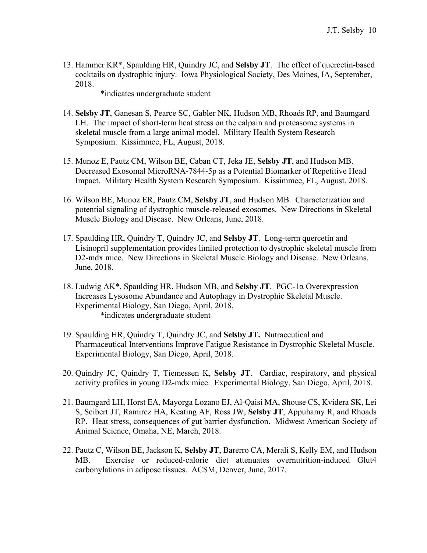13. Hammer KR\*, Spaulding HR, Quindry JC, and **Selsby JT**. The effect of quercetin-based cocktails on dystrophic injury. Iowa Physiological Society, Des Moines, IA, September, 2018.

\*indicates undergraduate student

- 14. **Selsby JT**, Ganesan S, Pearce SC, Gabler NK, Hudson MB, Rhoads RP, and Baumgard LH. The impact of short-term heat stress on the calpain and proteasome systems in skeletal muscle from a large animal model. Military Health System Research Symposium. Kissimmee, FL, August, 2018.
- 15. Munoz E, Pautz CM, Wilson BE, Caban CT, Jeka JE, **Selsby JT**, and Hudson MB. Decreased Exosomal MicroRNA-7844-5p as a Potential Biomarker of Repetitive Head Impact. Military Health System Research Symposium. Kissimmee, FL, August, 2018.
- 16. Wilson BE, Munoz ER, Pautz CM, **Selsby JT**, and Hudson MB. Characterization and potential signaling of dystrophic muscle-released exosomes. New Directions in Skeletal Muscle Biology and Disease. New Orleans, June, 2018.
- 17. Spaulding HR, Quindry T, Quindry JC, and **Selsby JT**. Long-term quercetin and Lisinopril supplementation provides limited protection to dystrophic skeletal muscle from D2-mdx mice. New Directions in Skeletal Muscle Biology and Disease. New Orleans, June, 2018.
- 18. Ludwig AK\*, Spaulding HR, Hudson MB, and **Selsby JT**. PGC-1α Overexpression Increases Lysosome Abundance and Autophagy in Dystrophic Skeletal Muscle. Experimental Biology, San Diego, April, 2018. \*indicates undergraduate student
- 19. Spaulding HR, Quindry T, Quindry JC, and **Selsby JT.** Nutraceutical and Pharmaceutical Interventions Improve Fatigue Resistance in Dystrophic Skeletal Muscle. Experimental Biology, San Diego, April, 2018.
- 20. Quindry JC, Quindry T, Tiemessen K, **Selsby JT**. Cardiac, respiratory, and physical activity profiles in young D2-mdx mice. Experimental Biology, San Diego, April, 2018.
- 21. Baumgard LH, Horst EA, Mayorga Lozano EJ, Al-Qaisi MA, Shouse CS, Kvidera SK, Lei S, Seibert JT, Ramirez HA, Keating AF, Ross JW, **Selsby JT**, Appuhamy R, and Rhoads RP. Heat stress, consequences of gut barrier dysfunction. Midwest American Society of Animal Science, Omaha, NE, March, 2018.
- 22. Pautz C, Wilson BE, Jackson K, **Selsby JT**, Barerro CA, Merali S, Kelly EM, and Hudson MB. Exercise or reduced-calorie diet attenuates overnutrition-induced Glut4 carbonylations in adipose tissues. ACSM, Denver, June, 2017.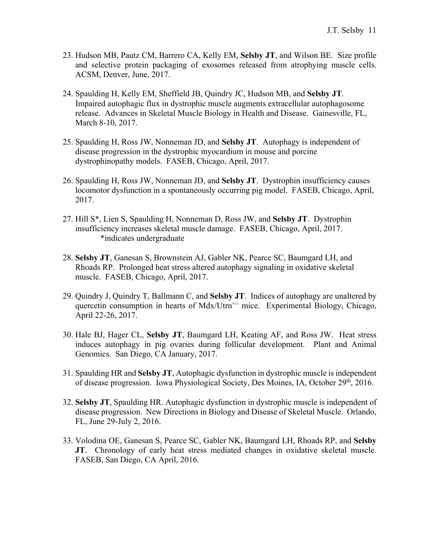- 23. Hudson MB, Pautz CM, Barrero CA, Kelly EM, **Selsby JT**, and Wilson BE. Size profile and selective protein packaging of exosomes released from atrophying muscle cells. ACSM, Denver, June, 2017.
- 24. Spaulding H, Kelly EM, Sheffield JB, Quindry JC, Hudson MB, and **Selsby JT**. Impaired autophagic flux in dystrophic muscle augments extracellular autophagosome release. Advances in Skeletal Muscle Biology in Health and Disease. Gainesville, FL, March 8-10, 2017.
- 25. Spaulding H, Ross JW, Nonneman JD, and **Selsby JT**. Autophagy is independent of disease progression in the dystrophic myocardium in mouse and porcine dystrophinopathy models. FASEB, Chicago, April, 2017.
- 26. Spaulding H, Ross JW, Nonneman JD, and **Selsby JT**. Dystrophin insufficiency causes locomotor dysfunction in a spontaneously occurring pig model. FASEB, Chicago, April, 2017.
- 27. Hill S\*, Lien S, Spaulding H, Nonneman D, Ross JW, and **Selsby JT**. Dystrophin insufficiency increases skeletal muscle damage. FASEB, Chicago, April, 2017. \*indicates undergraduate
- 28. **Selsby JT**, Ganesan S, Brownstein AJ, Gabler NK, Pearce SC, Baumgard LH, and Rhoads RP. Prolonged heat stress altered autophagy signaling in oxidative skeletal muscle. FASEB, Chicago, April, 2017.
- 29. Quindry J, Quindry T, Ballmann C, and **Selsby JT**. Indices of autophagy are unaltered by quercetin consumption in hearts of Mdx/Utrn<sup>+/-</sup> mice. Experimental Biology, Chicago, April 22-26, 2017.
- 30. Hale BJ, Hager CL, **Selsby JT**, Baumgard LH, Keating AF, and Ross JW. Heat stress induces autophagy in pig ovaries during follicular development. Plant and Animal Genomics. San Diego, CA January, 2017.
- 31. Spaulding HR and **Selsby JT**, Autophagic dysfunction in dystrophic muscle is independent of disease progression. Iowa Physiological Society, Des Moines, IA, October 29<sup>th</sup>, 2016.
- 32. **Selsby JT**, Spaulding HR. Autophagic dysfunction in dystrophic muscle is independent of disease progression. New Directions in Biology and Disease of Skeletal Muscle. Orlando, FL, June 29-July 2, 2016.
- 33. Volodina OE, Ganesan S, Pearce SC, Gabler NK, Baumgard LH, Rhoads RP, and **Selsby JT**. Chronology of early heat stress mediated changes in oxidative skeletal muscle. FASEB, San Diego, CA April, 2016.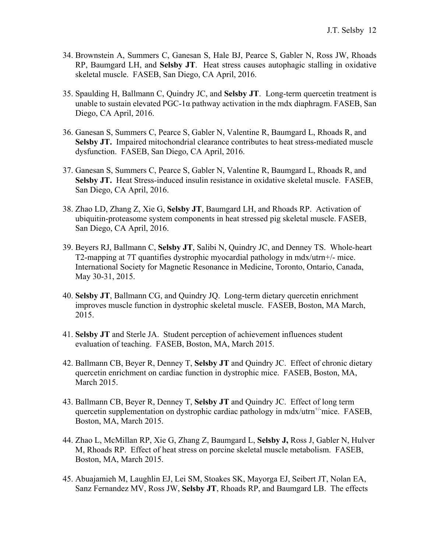- 34. Brownstein A, Summers C, Ganesan S, Hale BJ, Pearce S, Gabler N, Ross JW, Rhoads RP, Baumgard LH, and **Selsby JT**. Heat stress causes autophagic stalling in oxidative skeletal muscle. FASEB, San Diego, CA April, 2016.
- 35. Spaulding H, Ballmann C, Quindry JC, and **Selsby JT**. Long-term quercetin treatment is unable to sustain elevated  $PGC-1\alpha$  pathway activation in the mdx diaphragm. FASEB, San Diego, CA April, 2016.
- 36. Ganesan S, Summers C, Pearce S, Gabler N, Valentine R, Baumgard L, Rhoads R, and **Selsby JT.** Impaired mitochondrial clearance contributes to heat stress-mediated muscle dysfunction. FASEB, San Diego, CA April, 2016.
- 37. Ganesan S, Summers C, Pearce S, Gabler N, Valentine R, Baumgard L, Rhoads R, and **Selsby JT.** Heat Stress-induced insulin resistance in oxidative skeletal muscle. FASEB, San Diego, CA April, 2016.
- 38. Zhao LD, Zhang Z, Xie G, **Selsby JT**, Baumgard LH, and Rhoads RP. Activation of ubiquitin-proteasome system components in heat stressed pig skeletal muscle. FASEB, San Diego, CA April, 2016.
- 39. Beyers RJ, Ballmann C, **Selsby JT**, Salibi N, Quindry JC, and Denney TS. Whole-heart T2-mapping at 7T quantifies dystrophic myocardial pathology in mdx/utrn+/- mice. International Society for Magnetic Resonance in Medicine, Toronto, Ontario, Canada, May 30-31, 2015.
- 40. **Selsby JT**, Ballmann CG, and Quindry JQ. Long-term dietary quercetin enrichment improves muscle function in dystrophic skeletal muscle. FASEB, Boston, MA March, 2015.
- 41. **Selsby JT** and Sterle JA. Student perception of achievement influences student evaluation of teaching. FASEB, Boston, MA, March 2015.
- 42. Ballmann CB, Beyer R, Denney T, **Selsby JT** and Quindry JC. Effect of chronic dietary quercetin enrichment on cardiac function in dystrophic mice. FASEB, Boston, MA, March 2015.
- 43. Ballmann CB, Beyer R, Denney T, **Selsby JT** and Quindry JC. Effect of long term quercetin supplementation on dystrophic cardiac pathology in  $\text{mdx}/\text{utrn}^{+/-}$  mice. FASEB, Boston, MA, March 2015.
- 44. Zhao L, McMillan RP, Xie G, Zhang Z, Baumgard L, **Selsby J,** Ross J, Gabler N, Hulver M, Rhoads RP. Effect of heat stress on porcine skeletal muscle metabolism. FASEB, Boston, MA, March 2015.
- 45. Abuajamieh M, Laughlin EJ, Lei SM, Stoakes SK, Mayorga EJ, Seibert JT, Nolan EA, Sanz Fernandez MV, Ross JW, **Selsby JT**, Rhoads RP, and Baumgard LB. The effects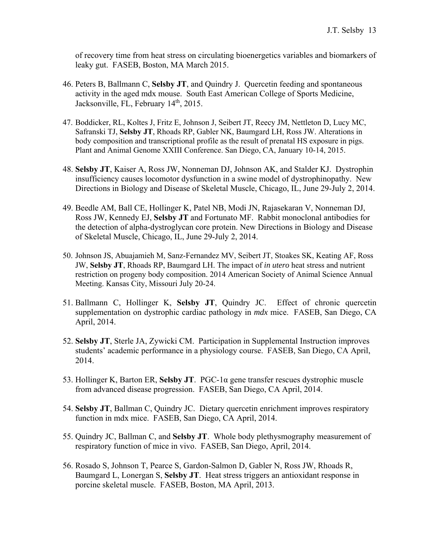of recovery time from heat stress on circulating bioenergetics variables and biomarkers of leaky gut. FASEB, Boston, MA March 2015.

- 46. Peters B, Ballmann C, **Selsby JT**, and Quindry J. Quercetin feeding and spontaneous activity in the aged mdx mouse. South East American College of Sports Medicine, Jacksonville, FL, February 14<sup>th</sup>, 2015.
- 47. Boddicker, RL, Koltes J, Fritz E, Johnson J, Seibert JT, Reecy JM, Nettleton D, Lucy MC, Safranski TJ, **Selsby JT**, Rhoads RP, Gabler NK, Baumgard LH, Ross JW. Alterations in body composition and transcriptional profile as the result of prenatal HS exposure in pigs. Plant and Animal Genome XXIII Conference. San Diego, CA, January 10-14, 2015.
- 48. **Selsby JT**, Kaiser A, Ross JW, Nonneman DJ, Johnson AK, and Stalder KJ. Dystrophin insufficiency causes locomotor dysfunction in a swine model of dystrophinopathy. New Directions in Biology and Disease of Skeletal Muscle, Chicago, IL, June 29-July 2, 2014.
- 49. Beedle AM, Ball CE, Hollinger K, Patel NB, Modi JN, Rajasekaran V, Nonneman DJ, Ross JW, Kennedy EJ, **Selsby JT** and Fortunato MF. Rabbit monoclonal antibodies for the detection of alpha-dystroglycan core protein. New Directions in Biology and Disease of Skeletal Muscle, Chicago, IL, June 29-July 2, 2014.
- 50. Johnson JS, Abuajamieh M, Sanz-Fernandez MV, Seibert JT, Stoakes SK, Keating AF, Ross JW, **Selsby JT**, Rhoads RP, Baumgard LH. The impact of *in utero* heat stress and nutrient restriction on progeny body composition. 2014 American Society of Animal Science Annual Meeting. Kansas City, Missouri July 20-24.
- 51. Ballmann C, Hollinger K, **Selsby JT**, Quindry JC. Effect of chronic quercetin supplementation on dystrophic cardiac pathology in *mdx* mice. FASEB, San Diego, CA April, 2014.
- 52. **Selsby JT**, Sterle JA, Zywicki CM. Participation in Supplemental Instruction improves students' academic performance in a physiology course. FASEB, San Diego, CA April, 2014.
- 53. Hollinger K, Barton ER, **Selsby JT**. PGC-1α gene transfer rescues dystrophic muscle from advanced disease progression. FASEB, San Diego, CA April, 2014.
- 54. **Selsby JT**, Ballman C, Quindry JC. Dietary quercetin enrichment improves respiratory function in mdx mice. FASEB, San Diego, CA April, 2014.
- 55. Quindry JC, Ballman C, and **Selsby JT**. Whole body plethysmography measurement of respiratory function of mice in vivo. FASEB, San Diego, April, 2014.
- 56. Rosado S, Johnson T, Pearce S, Gardon-Salmon D, Gabler N, Ross JW, Rhoads R, Baumgard L, Lonergan S, **Selsby JT**. Heat stress triggers an antioxidant response in porcine skeletal muscle. FASEB, Boston, MA April, 2013.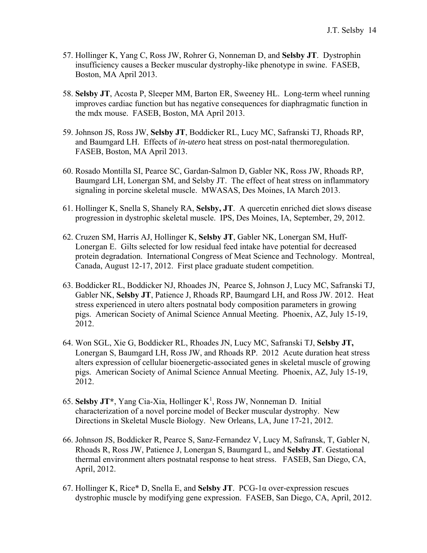- 57. Hollinger K, Yang C, Ross JW, Rohrer G, Nonneman D, and **Selsby JT**. Dystrophin insufficiency causes a Becker muscular dystrophy-like phenotype in swine. FASEB, Boston, MA April 2013.
- 58. **Selsby JT**, Acosta P, Sleeper MM, Barton ER, Sweeney HL. Long-term wheel running improves cardiac function but has negative consequences for diaphragmatic function in the mdx mouse. FASEB, Boston, MA April 2013.
- 59. Johnson JS, Ross JW, **Selsby JT**, Boddicker RL, Lucy MC, Safranski TJ, Rhoads RP, and Baumgard LH. Effects of *in-utero* heat stress on post-natal thermoregulation. FASEB, Boston, MA April 2013.
- 60. Rosado Montilla SI, Pearce SC, Gardan-Salmon D, Gabler NK, Ross JW, Rhoads RP, Baumgard LH, Lonergan SM, and Selsby JT. The effect of heat stress on inflammatory signaling in porcine skeletal muscle. MWASAS, Des Moines, IA March 2013.
- 61. Hollinger K, Snella S, Shanely RA, **Selsby, JT**. A quercetin enriched diet slows disease progression in dystrophic skeletal muscle. IPS, Des Moines, IA, September, 29, 2012.
- 62. Cruzen SM, Harris AJ, Hollinger K, **Selsby JT**, Gabler NK, Lonergan SM, Huff-Lonergan E. Gilts selected for low residual feed intake have potential for decreased protein degradation. International Congress of Meat Science and Technology. Montreal, Canada, August 12-17, 2012. First place graduate student competition.
- 63. Boddicker RL, Boddicker NJ, Rhoades JN, Pearce S, Johnson J, Lucy MC, Safranski TJ, Gabler NK, **Selsby JT**, Patience J, Rhoads RP, Baumgard LH, and Ross JW. 2012. Heat stress experienced in utero alters postnatal body composition parameters in growing pigs. American Society of Animal Science Annual Meeting. Phoenix, AZ, July 15-19, 2012.
- 64. Won SGL, Xie G, Boddicker RL, Rhoades JN, Lucy MC, Safranski TJ, **Selsby JT,** Lonergan S, Baumgard LH, Ross JW, and Rhoads RP. 2012 Acute duration heat stress alters expression of cellular bioenergetic-associated genes in skeletal muscle of growing pigs. American Society of Animal Science Annual Meeting. Phoenix, AZ, July 15-19, 2012.
- 65. Selsby JT<sup>\*</sup>, Yang Cia-Xia, Hollinger K<sup>1</sup>, Ross JW, Nonneman D. Initial characterization of a novel porcine model of Becker muscular dystrophy. New Directions in Skeletal Muscle Biology. New Orleans, LA, June 17-21, 2012.
- 66. Johnson JS, Boddicker R, Pearce S, Sanz-Fernandez V, Lucy M, Safransk, T, Gabler N, Rhoads R, Ross JW, Patience J, Lonergan S, Baumgard L, and **Selsby JT**. Gestational thermal environment alters postnatal response to heat stress. FASEB, San Diego, CA, April, 2012.
- 67. Hollinger K, Rice\* D, Snella E, and **Selsby JT**. PCG-1α over-expression rescues dystrophic muscle by modifying gene expression. FASEB, San Diego, CA, April, 2012.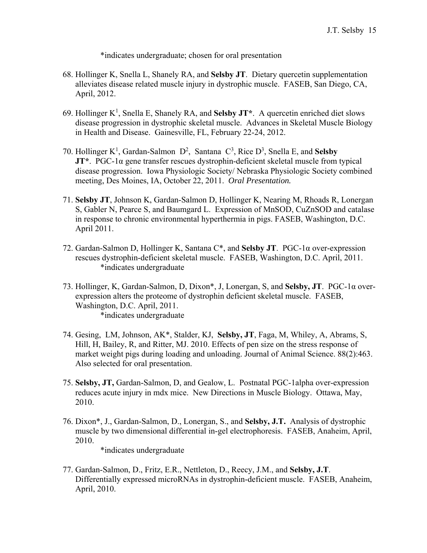\*indicates undergraduate; chosen for oral presentation

- 68. Hollinger K, Snella L, Shanely RA, and **Selsby JT**. Dietary quercetin supplementation alleviates disease related muscle injury in dystrophic muscle. FASEB, San Diego, CA, April, 2012.
- 69. Hollinger K<sup>1</sup>, Snella E, Shanely RA, and Selsby JT<sup>\*</sup>. A quercetin enriched diet slows disease progression in dystrophic skeletal muscle. Advances in Skeletal Muscle Biology in Health and Disease. Gainesville, FL, February 22-24, 2012.
- 70. Hollinger  $K^1$ , Gardan-Salmon  $D^2$ , Santana  $C^3$ , Rice  $D^3$ , Snella E, and **Selsby JT\***. PGC-1α gene transfer rescues dystrophin-deficient skeletal muscle from typical disease progression. Iowa Physiologic Society/ Nebraska Physiologic Society combined meeting, Des Moines, IA, October 22, 2011. *Oral Presentation.*
- 71. **Selsby JT**, Johnson K, Gardan-Salmon D, Hollinger K, Nearing M, Rhoads R, Lonergan S, Gabler N, Pearce S, and Baumgard L. Expression of MnSOD, CuZnSOD and catalase in response to chronic environmental hyperthermia in pigs. FASEB, Washington, D.C. April 2011.
- 72. Gardan-Salmon D, Hollinger K, Santana C\*, and **Selsby JT**. PGC-1α over-expression rescues dystrophin-deficient skeletal muscle. FASEB, Washington, D.C. April, 2011. \*indicates undergraduate
- 73. Hollinger, K, Gardan-Salmon, D, Dixon\*, J, Lonergan, S, and **Selsby, JT**. PGC-1α overexpression alters the proteome of dystrophin deficient skeletal muscle. FASEB, Washington, D.C. April, 2011. \*indicates undergraduate
- 74. Gesing, LM, Johnson, AK\*, Stalder, KJ, **Selsby, JT**, Faga, M, Whiley, A, Abrams, S, Hill, H, Bailey, R, and Ritter, MJ. 2010. Effects of pen size on the stress response of market weight pigs during loading and unloading. Journal of Animal Science. 88(2):463. Also selected for oral presentation.
- 75. **Selsby, JT,** Gardan-Salmon, D, and Gealow, L. Postnatal PGC-1alpha over-expression reduces acute injury in mdx mice. New Directions in Muscle Biology. Ottawa, May, 2010.
- 76. Dixon\*, J., Gardan-Salmon, D., Lonergan, S., and **Selsby, J.T.** Analysis of dystrophic muscle by two dimensional differential in-gel electrophoresis. FASEB, Anaheim, April, 2010.

\*indicates undergraduate

77. Gardan-Salmon, D., Fritz, E.R., Nettleton, D., Reecy, J.M., and **Selsby, J.T**. Differentially expressed microRNAs in dystrophin-deficient muscle. FASEB, Anaheim, April, 2010.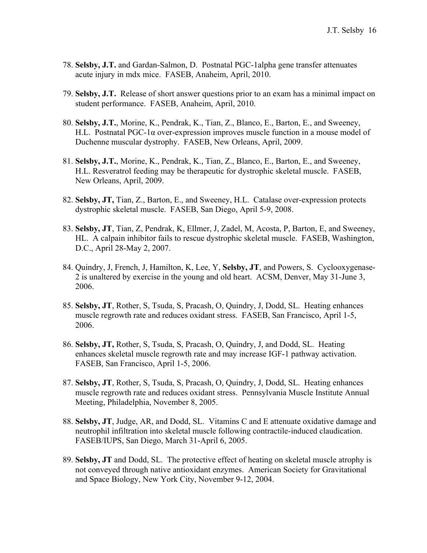- 78. **Selsby, J.T.** and Gardan-Salmon, D. Postnatal PGC-1alpha gene transfer attenuates acute injury in mdx mice. FASEB, Anaheim, April, 2010.
- 79. **Selsby, J.T.** Release of short answer questions prior to an exam has a minimal impact on student performance. FASEB, Anaheim, April, 2010.
- 80. **Selsby, J.T.**, Morine, K., Pendrak, K., Tian, Z., Blanco, E., Barton, E., and Sweeney, H.L. Postnatal PGC-1α over-expression improves muscle function in a mouse model of Duchenne muscular dystrophy. FASEB, New Orleans, April, 2009.
- 81. **Selsby, J.T.**, Morine, K., Pendrak, K., Tian, Z., Blanco, E., Barton, E., and Sweeney, H.L. Resveratrol feeding may be therapeutic for dystrophic skeletal muscle. FASEB, New Orleans, April, 2009.
- 82. **Selsby, JT,** Tian, Z., Barton, E., and Sweeney, H.L. Catalase over-expression protects dystrophic skeletal muscle. FASEB, San Diego, April 5-9, 2008.
- 83. **Selsby, JT**, Tian, Z, Pendrak, K, Ellmer, J, Zadel, M, Acosta, P, Barton, E, and Sweeney, HL. A calpain inhibitor fails to rescue dystrophic skeletal muscle. FASEB, Washington, D.C., April 28-May 2, 2007.
- 84. Quindry, J, French, J, Hamilton, K, Lee, Y, **Selsby, JT**, and Powers, S. Cyclooxygenase-2 is unaltered by exercise in the young and old heart. ACSM, Denver, May 31-June 3, 2006.
- 85. **Selsby, JT**, Rother, S, Tsuda, S, Pracash, O, Quindry, J, Dodd, SL. Heating enhances muscle regrowth rate and reduces oxidant stress. FASEB, San Francisco, April 1-5, 2006.
- 86. **Selsby, JT,** Rother, S, Tsuda, S, Pracash, O, Quindry, J, and Dodd, SL. Heating enhances skeletal muscle regrowth rate and may increase IGF-1 pathway activation. FASEB, San Francisco, April 1-5, 2006.
- 87. **Selsby, JT**, Rother, S, Tsuda, S, Pracash, O, Quindry, J, Dodd, SL. Heating enhances muscle regrowth rate and reduces oxidant stress. Pennsylvania Muscle Institute Annual Meeting, Philadelphia, November 8, 2005.
- 88. **Selsby, JT**, Judge, AR, and Dodd, SL. Vitamins C and E attenuate oxidative damage and neutrophil infiltration into skeletal muscle following contractile-induced claudication. FASEB/IUPS, San Diego, March 31-April 6, 2005.
- 89. **Selsby, JT** and Dodd, SL. The protective effect of heating on skeletal muscle atrophy is not conveyed through native antioxidant enzymes. American Society for Gravitational and Space Biology, New York City, November 9-12, 2004.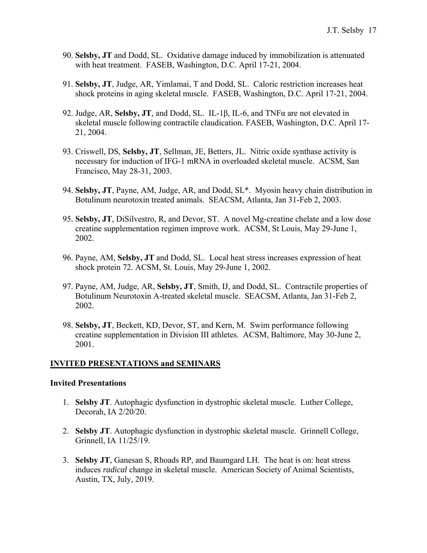- 90. **Selsby, JT** and Dodd, SL. Oxidative damage induced by immobilization is attenuated with heat treatment. FASEB, Washington, D.C. April 17-21, 2004.
- 91. **Selsby, JT**, Judge, AR, Yimlamai, T and Dodd, SL. Caloric restriction increases heat shock proteins in aging skeletal muscle. FASEB, Washington, D.C. April 17-21, 2004.
- 92. Judge, AR, **Selsby, JT**, and Dodd, SL. IL-1β, IL-6, and TNFα are not elevated in skeletal muscle following contractile claudication. FASEB, Washington, D.C. April 17- 21, 2004.
- 93. Criswell, DS, **Selsby, JT**, Sellman, JE, Betters, JL. Nitric oxide synthase activity is necessary for induction of IFG-1 mRNA in overloaded skeletal muscle. ACSM, San Francisco, May 28-31, 2003.
- 94. **Selsby, JT**, Payne, AM, Judge, AR, and Dodd, SL\*. Myosin heavy chain distribution in Botulinum neurotoxin treated animals. SEACSM, Atlanta, Jan 31-Feb 2, 2003.
- 95. **Selsby, JT**, DiSilvestro, R, and Devor, ST. A novel Mg-creatine chelate and a low dose creatine supplementation regimen improve work. ACSM, St Louis, May 29-June 1, 2002.
- 96. Payne, AM, **Selsby, JT** and Dodd, SL. Local heat stress increases expression of heat shock protein 72. ACSM, St. Louis, May 29-June 1, 2002.
- 97. Payne, AM, Judge, AR, **Selsby, JT**, Smith, IJ, and Dodd, SL. Contractile properties of Botulinum Neurotoxin A-treated skeletal muscle. SEACSM, Atlanta, Jan 31-Feb 2, 2002.
- 98. **Selsby, JT**, Beckett, KD, Devor, ST, and Kern, M. Swim performance following creatine supplementation in Division III athletes. ACSM, Baltimore, May 30-June 2, 2001.

#### **INVITED PRESENTATIONS and SEMINARS**

#### **Invited Presentations**

- 1. **Selsby JT**. Autophagic dysfunction in dystrophic skeletal muscle. Luther College, Decorah, IA 2/20/20.
- 2. **Selsby JT**. Autophagic dysfunction in dystrophic skeletal muscle. Grinnell College, Grinnell, IA 11/25/19.
- 3. **Selsby JT**, Ganesan S, Rhoads RP, and Baumgard LH. The heat is on: heat stress induces *radical* change in skeletal muscle. American Society of Animal Scientists, Austin, TX, July, 2019.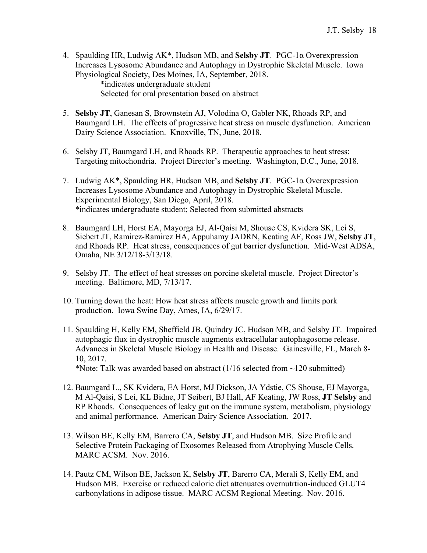4. Spaulding HR, Ludwig AK\*, Hudson MB, and **Selsby JT**. PGC-1α Overexpression Increases Lysosome Abundance and Autophagy in Dystrophic Skeletal Muscle. Iowa Physiological Society, Des Moines, IA, September, 2018.

> \*indicates undergraduate student Selected for oral presentation based on abstract

- 5. **Selsby JT**, Ganesan S, Brownstein AJ, Volodina O, Gabler NK, Rhoads RP, and Baumgard LH. The effects of progressive heat stress on muscle dysfunction. American Dairy Science Association. Knoxville, TN, June, 2018.
- 6. Selsby JT, Baumgard LH, and Rhoads RP. Therapeutic approaches to heat stress: Targeting mitochondria. Project Director's meeting. Washington, D.C., June, 2018.
- 7. Ludwig AK\*, Spaulding HR, Hudson MB, and **Selsby JT**. PGC-1α Overexpression Increases Lysosome Abundance and Autophagy in Dystrophic Skeletal Muscle. Experimental Biology, San Diego, April, 2018. \*indicates undergraduate student; Selected from submitted abstracts
- 8. Baumgard LH, Horst EA, Mayorga EJ, Al-Qaisi M, Shouse CS, Kvidera SK, Lei S, Siebert JT, Ramirez-Ramirez HA, Appuhamy JADRN, Keating AF, Ross JW, **Selsby JT**, and Rhoads RP. Heat stress, consequences of gut barrier dysfunction. Mid-West ADSA, Omaha, NE 3/12/18-3/13/18.
- 9. Selsby JT. The effect of heat stresses on porcine skeletal muscle. Project Director's meeting. Baltimore, MD, 7/13/17.
- 10. Turning down the heat: How heat stress affects muscle growth and limits pork production. Iowa Swine Day, Ames, IA, 6/29/17.
- 11. Spaulding H, Kelly EM, Sheffield JB, Quindry JC, Hudson MB, and Selsby JT. Impaired autophagic flux in dystrophic muscle augments extracellular autophagosome release. Advances in Skeletal Muscle Biology in Health and Disease. Gainesville, FL, March 8- 10, 2017. \*Note: Talk was awarded based on abstract  $(1/16$  selected from  $\sim$ 120 submitted)
- 12. Baumgard L., SK Kvidera, EA Horst, MJ Dickson, JA Ydstie, CS Shouse, EJ Mayorga,
- M Al-Qaisi, S Lei, KL Bidne, JT Seibert, BJ Hall, AF Keating, JW Ross, **JT Selsby** and RP Rhoads. Consequences of leaky gut on the immune system, metabolism, physiology and animal performance. American Dairy Science Association. 2017.
- 13. Wilson BE, Kelly EM, Barrero CA, **Selsby JT**, and Hudson MB. Size Profile and Selective Protein Packaging of Exosomes Released from Atrophying Muscle Cells*.*  MARC ACSM. Nov. 2016.
- 14. Pautz CM, Wilson BE, Jackson K, **Selsby JT**, Barerro CA, Merali S, Kelly EM, and Hudson MB. Exercise or reduced calorie diet attenuates overnutrtion-induced GLUT4 carbonylations in adipose tissue. MARC ACSM Regional Meeting. Nov. 2016.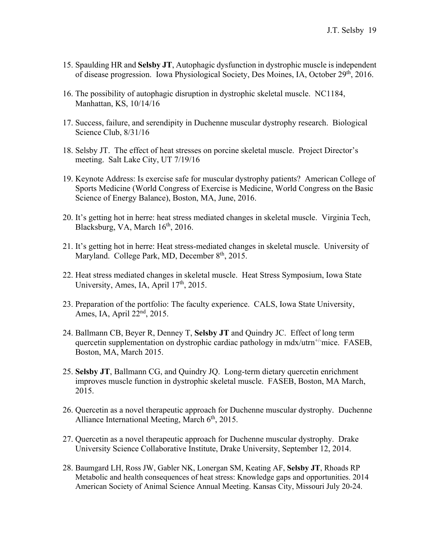- 15. Spaulding HR and **Selsby JT**, Autophagic dysfunction in dystrophic muscle is independent of disease progression. Iowa Physiological Society, Des Moines, IA, October 29<sup>th</sup>, 2016.
- 16. The possibility of autophagic disruption in dystrophic skeletal muscle. NC1184, Manhattan, KS, 10/14/16
- 17. Success, failure, and serendipity in Duchenne muscular dystrophy research. Biological Science Club, 8/31/16
- 18. Selsby JT. The effect of heat stresses on porcine skeletal muscle. Project Director's meeting. Salt Lake City, UT 7/19/16
- 19. Keynote Address: Is exercise safe for muscular dystrophy patients? American College of Sports Medicine (World Congress of Exercise is Medicine, World Congress on the Basic Science of Energy Balance), Boston, MA, June, 2016.
- 20. It's getting hot in herre: heat stress mediated changes in skeletal muscle. Virginia Tech, Blacksburg, VA, March  $16<sup>th</sup>$ , 2016.
- 21. It's getting hot in herre: Heat stress-mediated changes in skeletal muscle. University of Maryland. College Park, MD, December  $8<sup>th</sup>$ , 2015.
- 22. Heat stress mediated changes in skeletal muscle. Heat Stress Symposium, Iowa State University, Ames, IA, April  $17<sup>th</sup>$ , 2015.
- 23. Preparation of the portfolio: The faculty experience. CALS, Iowa State University, Ames, IA, April 22nd, 2015.
- 24. Ballmann CB, Beyer R, Denney T, **Selsby JT** and Quindry JC. Effect of long term quercetin supplementation on dystrophic cardiac pathology in  $\frac{max/turn^{+}}{noise}$ . FASEB, Boston, MA, March 2015.
- 25. **Selsby JT**, Ballmann CG, and Quindry JQ. Long-term dietary quercetin enrichment improves muscle function in dystrophic skeletal muscle. FASEB, Boston, MA March, 2015.
- 26. Quercetin as a novel therapeutic approach for Duchenne muscular dystrophy. Duchenne Alliance International Meeting, March  $6<sup>th</sup>$ , 2015.
- 27. Quercetin as a novel therapeutic approach for Duchenne muscular dystrophy. Drake University Science Collaborative Institute, Drake University, September 12, 2014.
- 28. Baumgard LH, Ross JW, Gabler NK, Lonergan SM, Keating AF, **Selsby JT**, Rhoads RP Metabolic and health consequences of heat stress: Knowledge gaps and opportunities. 2014 American Society of Animal Science Annual Meeting. Kansas City, Missouri July 20-24.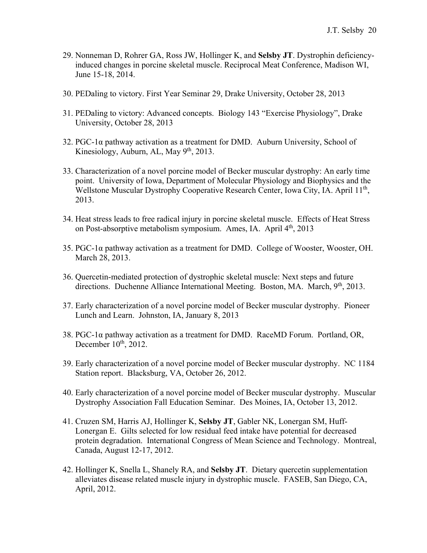- 29. Nonneman D, Rohrer GA, Ross JW, Hollinger K, and **Selsby JT**. Dystrophin deficiencyinduced changes in porcine skeletal muscle. Reciprocal Meat Conference, Madison WI, June 15-18, 2014.
- 30. PEDaling to victory. First Year Seminar 29, Drake University, October 28, 2013
- 31. PEDaling to victory: Advanced concepts. Biology 143 "Exercise Physiology", Drake University, October 28, 2013
- 32. PGC-1α pathway activation as a treatment for DMD. Auburn University, School of Kinesiology, Auburn, AL, May  $9<sup>th</sup>$ , 2013.
- 33. Characterization of a novel porcine model of Becker muscular dystrophy: An early time point. University of Iowa, Department of Molecular Physiology and Biophysics and the Wellstone Muscular Dystrophy Cooperative Research Center, Iowa City, IA. April 11<sup>th</sup>, 2013.
- 34. Heat stress leads to free radical injury in porcine skeletal muscle. Effects of Heat Stress on Post-absorptive metabolism symposium. Ames, IA. April  $4<sup>th</sup>$ , 2013
- 35. PGC-1α pathway activation as a treatment for DMD. College of Wooster, Wooster, OH. March 28, 2013.
- 36. Quercetin-mediated protection of dystrophic skeletal muscle: Next steps and future directions. Duchenne Alliance International Meeting. Boston, MA. March, 9<sup>th</sup>, 2013.
- 37. Early characterization of a novel porcine model of Becker muscular dystrophy. Pioneer Lunch and Learn. Johnston, IA, January 8, 2013
- 38. PGC-1α pathway activation as a treatment for DMD. RaceMD Forum. Portland, OR, December  $10<sup>th</sup>$ , 2012.
- 39. Early characterization of a novel porcine model of Becker muscular dystrophy. NC 1184 Station report. Blacksburg, VA, October 26, 2012.
- 40. Early characterization of a novel porcine model of Becker muscular dystrophy. Muscular Dystrophy Association Fall Education Seminar. Des Moines, IA, October 13, 2012.
- 41. Cruzen SM, Harris AJ, Hollinger K, **Selsby JT**, Gabler NK, Lonergan SM, Huff-Lonergan E. Gilts selected for low residual feed intake have potential for decreased protein degradation. International Congress of Mean Science and Technology. Montreal, Canada, August 12-17, 2012.
- 42. Hollinger K, Snella L, Shanely RA, and **Selsby JT**. Dietary quercetin supplementation alleviates disease related muscle injury in dystrophic muscle. FASEB, San Diego, CA, April, 2012.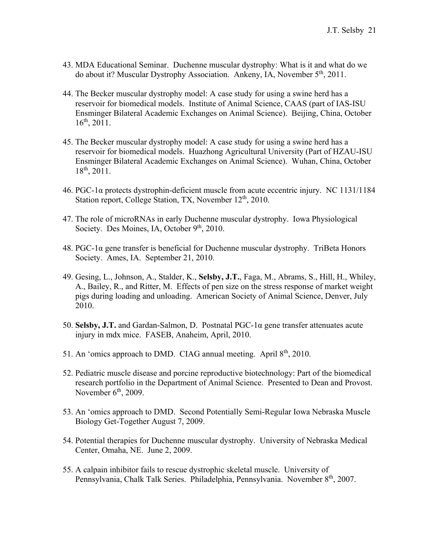- 43. MDA Educational Seminar. Duchenne muscular dystrophy: What is it and what do we do about it? Muscular Dystrophy Association. Ankeny, IA, November 5th, 2011.
- 44. The Becker muscular dystrophy model: A case study for using a swine herd has a reservoir for biomedical models. Institute of Animal Science, CAAS (part of IAS-ISU Ensminger Bilateral Academic Exchanges on Animal Science). Beijing, China, October  $16^{th}$ , 2011.
- 45. The Becker muscular dystrophy model: A case study for using a swine herd has a reservoir for biomedical models. Huazhong Agricultural University (Part of HZAU-ISU Ensminger Bilateral Academic Exchanges on Animal Science). Wuhan, China, October 18th, 2011.
- 46. PGC-1α protects dystrophin-deficient muscle from acute eccentric injury. NC 1131/1184 Station report, College Station, TX, November 12<sup>th</sup>, 2010.
- 47. The role of microRNAs in early Duchenne muscular dystrophy. Iowa Physiological Society. Des Moines, IA, October 9<sup>th</sup>, 2010.
- 48. PGC-1 $\alpha$  gene transfer is beneficial for Duchenne muscular dystrophy. TriBeta Honors Society. Ames, IA. September 21, 2010.
- 49. Gesing, L., Johnson, A., Stalder, K., **Selsby, J.T.**, Faga, M., Abrams, S., Hill, H., Whiley, A., Bailey, R., and Ritter, M. Effects of pen size on the stress response of market weight pigs during loading and unloading. American Society of Animal Science, Denver, July 2010.
- 50. **Selsby, J.T.** and Gardan-Salmon, D. Postnatal  $PGC-1\alpha$  gene transfer attenuates acute injury in mdx mice. FASEB, Anaheim, April, 2010.
- 51. An 'omics approach to DMD. CIAG annual meeting. April 8<sup>th</sup>, 2010.
- 52. Pediatric muscle disease and porcine reproductive biotechnology: Part of the biomedical research portfolio in the Department of Animal Science. Presented to Dean and Provost. November  $6<sup>th</sup>$ , 2009.
- 53. An 'omics approach to DMD. Second Potentially Semi-Regular Iowa Nebraska Muscle Biology Get-Together August 7, 2009.
- 54. Potential therapies for Duchenne muscular dystrophy. University of Nebraska Medical Center, Omaha, NE. June 2, 2009.
- 55. A calpain inhibitor fails to rescue dystrophic skeletal muscle. University of Pennsylvania, Chalk Talk Series. Philadelphia, Pennsylvania. November 8<sup>th</sup>, 2007.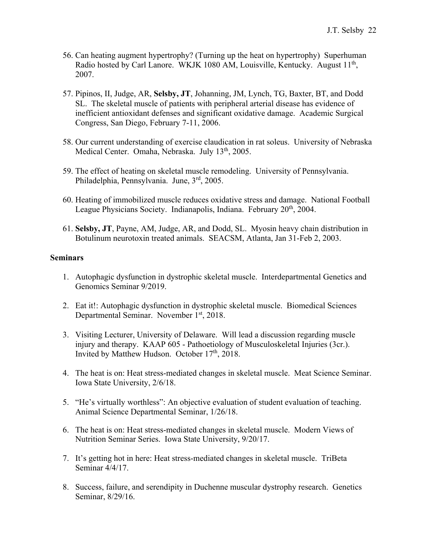- 56. Can heating augment hypertrophy? (Turning up the heat on hypertrophy) Superhuman Radio hosted by Carl Lanore. WKJK 1080 AM, Louisville, Kentucky. August  $11<sup>th</sup>$ , 2007.
- 57. Pipinos, II, Judge, AR, **Selsby, JT**, Johanning, JM, Lynch, TG, Baxter, BT, and Dodd SL. The skeletal muscle of patients with peripheral arterial disease has evidence of inefficient antioxidant defenses and significant oxidative damage. Academic Surgical Congress, San Diego, February 7-11, 2006.
- 58. Our current understanding of exercise claudication in rat soleus. University of Nebraska Medical Center. Omaha, Nebraska. July 13<sup>th</sup>, 2005.
- 59. The effect of heating on skeletal muscle remodeling. University of Pennsylvania. Philadelphia, Pennsylvania. June, 3rd, 2005.
- 60. Heating of immobilized muscle reduces oxidative stress and damage. National Football League Physicians Society. Indianapolis, Indiana. February 20<sup>th</sup>, 2004.
- 61. **Selsby, JT**, Payne, AM, Judge, AR, and Dodd, SL. Myosin heavy chain distribution in Botulinum neurotoxin treated animals. SEACSM, Atlanta, Jan 31-Feb 2, 2003.

#### **Seminars**

- 1. Autophagic dysfunction in dystrophic skeletal muscle. Interdepartmental Genetics and Genomics Seminar 9/2019.
- 2. Eat it!: Autophagic dysfunction in dystrophic skeletal muscle. Biomedical Sciences Departmental Seminar. November 1<sup>st</sup>, 2018.
- 3. Visiting Lecturer, University of Delaware. Will lead a discussion regarding muscle injury and therapy. KAAP 605 - Pathoetiology of Musculoskeletal Injuries (3cr.). Invited by Matthew Hudson. October  $17<sup>th</sup>$ , 2018.
- 4. The heat is on: Heat stress-mediated changes in skeletal muscle. Meat Science Seminar. Iowa State University, 2/6/18.
- 5. "He's virtually worthless": An objective evaluation of student evaluation of teaching. Animal Science Departmental Seminar, 1/26/18.
- 6. The heat is on: Heat stress-mediated changes in skeletal muscle. Modern Views of Nutrition Seminar Series. Iowa State University, 9/20/17.
- 7. It's getting hot in here: Heat stress-mediated changes in skeletal muscle. TriBeta Seminar 4/4/17.
- 8. Success, failure, and serendipity in Duchenne muscular dystrophy research. Genetics Seminar, 8/29/16.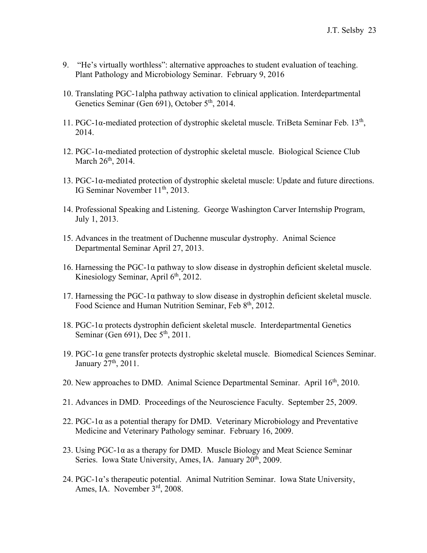- 9. "He's virtually worthless": alternative approaches to student evaluation of teaching. Plant Pathology and Microbiology Seminar. February 9, 2016
- 10. Translating PGC-1alpha pathway activation to clinical application. Interdepartmental Genetics Seminar (Gen 691), October 5<sup>th</sup>, 2014.
- 11. PGC-1 $\alpha$ -mediated protection of dystrophic skeletal muscle. TriBeta Seminar Feb. 13<sup>th</sup>, 2014.
- 12. PGC-1α-mediated protection of dystrophic skeletal muscle. Biological Science Club March 26<sup>th</sup>, 2014.
- 13. PGC-1α-mediated protection of dystrophic skeletal muscle: Update and future directions. IG Seminar November 11<sup>th</sup>, 2013.
- 14. Professional Speaking and Listening. George Washington Carver Internship Program, July 1, 2013.
- 15. Advances in the treatment of Duchenne muscular dystrophy. Animal Science Departmental Seminar April 27, 2013.
- 16. Harnessing the PGC-1α pathway to slow disease in dystrophin deficient skeletal muscle. Kinesiology Seminar, April 6<sup>th</sup>, 2012.
- 17. Harnessing the PGC-1 $\alpha$  pathway to slow disease in dystrophin deficient skeletal muscle. Food Science and Human Nutrition Seminar, Feb 8<sup>th</sup>, 2012.
- 18. PGC-1α protects dystrophin deficient skeletal muscle. Interdepartmental Genetics Seminar (Gen  $691$ ), Dec  $5<sup>th</sup>$ , 2011.
- 19. PGC-1α gene transfer protects dystrophic skeletal muscle. Biomedical Sciences Seminar. January 27<sup>th</sup>, 2011.
- 20. New approaches to DMD. Animal Science Departmental Seminar. April  $16<sup>th</sup>$ , 2010.
- 21. Advances in DMD. Proceedings of the Neuroscience Faculty. September 25, 2009.
- 22. PGC-1 $\alpha$  as a potential therapy for DMD. Veterinary Microbiology and Preventative Medicine and Veterinary Pathology seminar. February 16, 2009.
- 23. Using  $PGC-1\alpha$  as a therapy for DMD. Muscle Biology and Meat Science Seminar Series. Iowa State University, Ames, IA. January 20<sup>th</sup>, 2009.
- 24. PGC-1α's therapeutic potential. Animal Nutrition Seminar. Iowa State University, Ames, IA. November 3rd, 2008.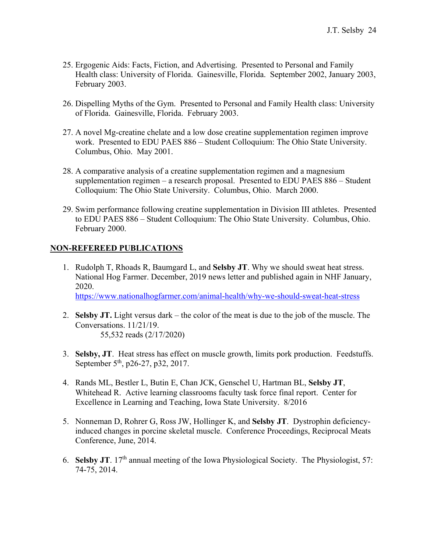- 25. Ergogenic Aids: Facts, Fiction, and Advertising. Presented to Personal and Family Health class: University of Florida. Gainesville, Florida. September 2002, January 2003, February 2003.
- 26. Dispelling Myths of the Gym. Presented to Personal and Family Health class: University of Florida. Gainesville, Florida. February 2003.
- 27. A novel Mg-creatine chelate and a low dose creatine supplementation regimen improve work. Presented to EDU PAES 886 – Student Colloquium: The Ohio State University. Columbus, Ohio. May 2001.
- 28. A comparative analysis of a creatine supplementation regimen and a magnesium supplementation regimen – a research proposal. Presented to EDU PAES 886 – Student Colloquium: The Ohio State University. Columbus, Ohio. March 2000.
- 29. Swim performance following creatine supplementation in Division III athletes. Presented to EDU PAES 886 – Student Colloquium: The Ohio State University. Columbus, Ohio. February 2000.

## **NON-REFEREED PUBLICATIONS**

- 1. Rudolph T, Rhoads R, Baumgard L, and **Selsby JT**. Why we should sweat heat stress. National Hog Farmer. December, 2019 news letter and published again in NHF January, 2020. https://www.nationalhogfarmer.com/animal-health/why-we-should-sweat-heat-stress
- 2. **Selsby JT.** Light versus dark the color of the meat is due to the job of the muscle. The Conversations. 11/21/19.

55,532 reads (2/17/2020)

- 3. **Selsby, JT**. Heat stress has effect on muscle growth, limits pork production. Feedstuffs. September 5<sup>th</sup>, p26-27, p32, 2017.
- 4. Rands ML, Bestler L, Butin E, Chan JCK, Genschel U, Hartman BL, **Selsby JT**, Whitehead R. Active learning classrooms faculty task force final report. Center for Excellence in Learning and Teaching, Iowa State University. 8/2016
- 5. Nonneman D, Rohrer G, Ross JW, Hollinger K, and **Selsby JT**. Dystrophin deficiencyinduced changes in porcine skeletal muscle. Conference Proceedings, Reciprocal Meats Conference, June, 2014.
- 6. **Selsby JT**. 17th annual meeting of the Iowa Physiological Society. The Physiologist, 57: 74-75, 2014.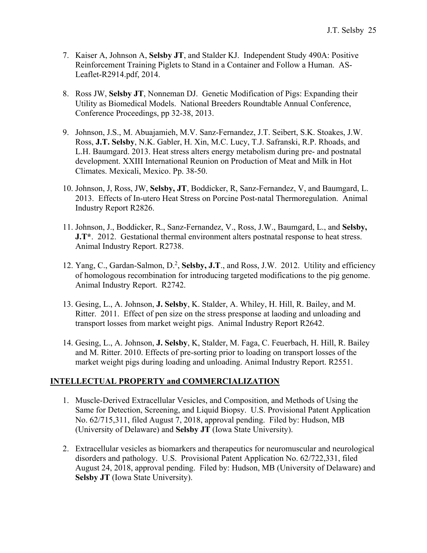- 7. Kaiser A, Johnson A, **Selsby JT**, and Stalder KJ. Independent Study 490A: Positive Reinforcement Training Piglets to Stand in a Container and Follow a Human. AS-Leaflet-R2914.pdf, 2014.
- 8. Ross JW, **Selsby JT**, Nonneman DJ. Genetic Modification of Pigs: Expanding their Utility as Biomedical Models. National Breeders Roundtable Annual Conference, Conference Proceedings, pp 32-38, 2013.
- 9. Johnson, J.S., M. Abuajamieh, M.V. Sanz-Fernandez, J.T. Seibert, S.K. Stoakes, J.W. Ross, **J.T. Selsby**, N.K. Gabler, H. Xin, M.C. Lucy, T.J. Safranski, R.P. Rhoads, and L.H. Baumgard. 2013. Heat stress alters energy metabolism during pre- and postnatal development. XXIII International Reunion on Production of Meat and Milk in Hot Climates. Mexicali, Mexico. Pp. 38-50.
- 10. Johnson, J, Ross, JW, **Selsby, JT**, Boddicker, R, Sanz-Fernandez, V, and Baumgard, L. 2013. Effects of In-utero Heat Stress on Porcine Post-natal Thermoregulation. Animal Industry Report R2826.
- 11. Johnson, J., Boddicker, R., Sanz-Fernandez, V., Ross, J.W., Baumgard, L., and **Selsby, J.T**\*. 2012. Gestational thermal environment alters postnatal response to heat stress. Animal Industry Report. R2738.
- 12. Yang, C., Gardan-Salmon, D.<sup>2</sup>, Selsby, J.T., and Ross, J.W. 2012. Utility and efficiency of homologous recombination for introducing targeted modifications to the pig genome. Animal Industry Report. R2742.
- 13. Gesing, L., A. Johnson, **J. Selsby**, K. Stalder, A. Whiley, H. Hill, R. Bailey, and M. Ritter. 2011. Effect of pen size on the stress presponse at laoding and unloading and transport losses from market weight pigs. Animal Industry Report R2642.
- 14. Gesing, L., A. Johnson, **J. Selsby**, K, Stalder, M. Faga, C. Feuerbach, H. Hill, R. Bailey and M. Ritter. 2010. Effects of pre-sorting prior to loading on transport losses of the market weight pigs during loading and unloading. Animal Industry Report. R2551.

## **INTELLECTUAL PROPERTY and COMMERCIALIZATION**

- 1. Muscle-Derived Extracellular Vesicles, and Composition, and Methods of Using the Same for Detection, Screening, and Liquid Biopsy. U.S. Provisional Patent Application No. 62/715,311, filed August 7, 2018, approval pending. Filed by: Hudson, MB (University of Delaware) and **Selsby JT** (Iowa State University).
- 2. Extracellular vesicles as biomarkers and therapeutics for neuromuscular and neurological disorders and pathology. U.S. Provisional Patent Application No. 62/722,331, filed August 24, 2018, approval pending. Filed by: Hudson, MB (University of Delaware) and **Selsby JT** (Iowa State University).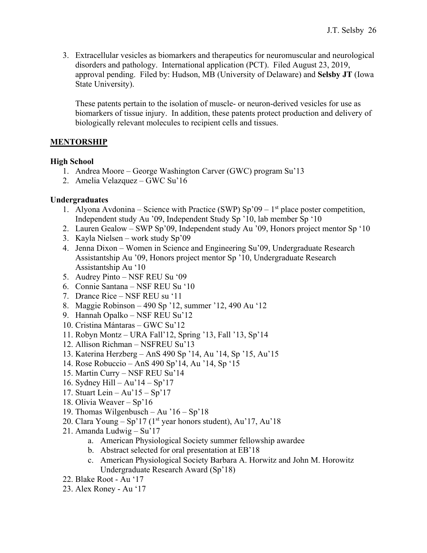3. Extracellular vesicles as biomarkers and therapeutics for neuromuscular and neurological disorders and pathology. International application (PCT). Filed August 23, 2019, approval pending. Filed by: Hudson, MB (University of Delaware) and **Selsby JT** (Iowa State University).

These patents pertain to the isolation of muscle- or neuron-derived vesicles for use as biomarkers of tissue injury. In addition, these patents protect production and delivery of biologically relevant molecules to recipient cells and tissues.

## **MENTORSHIP**

## **High School**

- 1. Andrea Moore George Washington Carver (GWC) program Su'13
- 2. Amelia Velazquez GWC Su'16

## **Undergraduates**

- 1. Alyona Avdonina Science with Practice (SWP) Sp'09 1<sup>st</sup> place poster competition, Independent study Au '09, Independent Study Sp '10, lab member Sp '10
- 2. Lauren Gealow SWP Sp'09, Independent study Au '09, Honors project mentor Sp '10
- 3. Kayla Nielsen work study Sp'09
- 4. Jenna Dixon Women in Science and Engineering Su'09, Undergraduate Research Assistantship Au '09, Honors project mentor Sp '10, Undergraduate Research Assistantship Au '10
- 5. Audrey Pinto NSF REU Su '09
- 6. Connie Santana NSF REU Su '10
- 7. Drance Rice NSF REU su '11
- 8. Maggie Robinson 490 Sp '12, summer '12, 490 Au '12
- 9. Hannah Opalko NSF REU Su'12
- 10. Cristina Mántaras GWC Su'12
- 11. Robyn Montz URA Fall'12, Spring '13, Fall '13, Sp'14
- 12. Allison Richman NSFREU Su'13
- 13. Katerina Herzberg AnS 490 Sp '14, Au '14, Sp '15, Au'15
- 14. Rose Robuccio AnS 490 Sp'14, Au '14, Sp '15
- 15. Martin Curry NSF REU Su'14
- 16. Sydney Hill Au'14 Sp'17
- 17. Stuart Lein Au'15 Sp'17
- 18. Olivia Weaver Sp'16
- 19. Thomas Wilgenbusch Au '16 Sp'18
- 20. Clara Young Sp'17 (1<sup>st</sup> year honors student), Au'17, Au'18
- 21. Amanda Ludwig Su'17
	- a. American Physiological Society summer fellowship awardee
	- b. Abstract selected for oral presentation at EB'18
	- c. American Physiological Society Barbara A. Horwitz and John M. Horowitz Undergraduate Research Award (Sp'18)
- 22. Blake Root Au '17
- 23. Alex Roney Au '17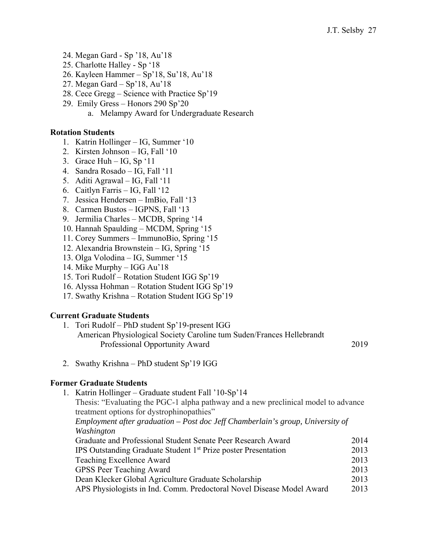- 24. Megan Gard Sp '18, Au'18
- 25. Charlotte Halley Sp '18
- 26. Kayleen Hammer Sp'18, Su'18, Au'18
- 27. Megan Gard Sp'18, Au'18
- 28. Cece Gregg Science with Practice Sp'19
- 29. Emily Gress Honors 290 Sp'20
	- a. Melampy Award for Undergraduate Research

### **Rotation Students**

- 1. Katrin Hollinger IG, Summer '10
- 2. Kirsten Johnson IG, Fall '10
- 3. Grace Huh IG, Sp '11
- 4. Sandra Rosado IG, Fall '11
- 5. Aditi Agrawal IG, Fall '11
- 6. Caitlyn Farris IG, Fall '12
- 7. Jessica Hendersen ImBio, Fall '13
- 8. Carmen Bustos IGPNS, Fall '13
- 9. Jermilia Charles MCDB, Spring '14
- 10. Hannah Spaulding MCDM, Spring '15
- 11. Corey Summers ImmunoBio, Spring '15
- 12. Alexandria Brownstein IG, Spring '15
- 13. Olga Volodina IG, Summer '15
- 14. Mike Murphy IGG Au'18
- 15. Tori Rudolf Rotation Student IGG Sp'19
- 16. Alyssa Hohman Rotation Student IGG Sp'19
- 17. Swathy Krishna Rotation Student IGG Sp'19

## **Current Graduate Students**

- 1. Tori Rudolf PhD student Sp'19-present IGG American Physiological Society Caroline tum Suden/Frances Hellebrandt Professional Opportunity Award 2019
- 2. Swathy Krishna PhD student Sp'19 IGG

#### **Former Graduate Students**

1. Katrin Hollinger – Graduate student Fall '10-Sp'14

Thesis: "Evaluating the PGC-1 alpha pathway and a new preclinical model to advance treatment options for dystrophinopathies"

*Employment after graduation – Post doc Jeff Chamberlain's group, University of Washington* 

| Graduate and Professional Student Senate Peer Research Award               | 2014 |
|----------------------------------------------------------------------------|------|
| IPS Outstanding Graduate Student 1 <sup>st</sup> Prize poster Presentation | 2013 |
| Teaching Excellence Award                                                  | 2013 |
| GPSS Peer Teaching Award                                                   | 2013 |
| Dean Klecker Global Agriculture Graduate Scholarship                       | 2013 |
| APS Physiologists in Ind. Comm. Predoctoral Novel Disease Model Award      | 2013 |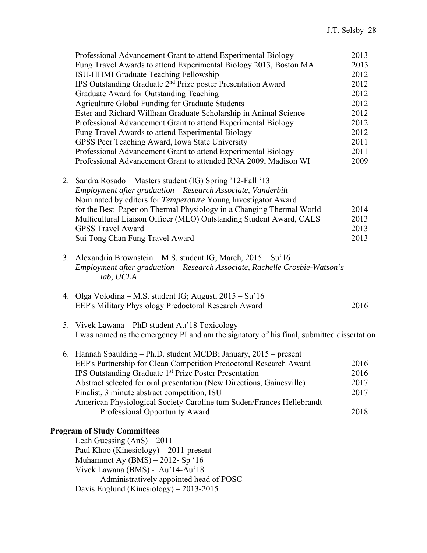| Professional Advancement Grant to attend Experimental Biology                             | 2013 |
|-------------------------------------------------------------------------------------------|------|
| Fung Travel Awards to attend Experimental Biology 2013, Boston MA                         | 2013 |
| ISU-HHMI Graduate Teaching Fellowship                                                     | 2012 |
| IPS Outstanding Graduate 2 <sup>nd</sup> Prize poster Presentation Award                  | 2012 |
| Graduate Award for Outstanding Teaching                                                   | 2012 |
| Agriculture Global Funding for Graduate Students                                          | 2012 |
| Ester and Richard Willham Graduate Scholarship in Animal Science                          | 2012 |
| Professional Advancement Grant to attend Experimental Biology                             | 2012 |
| Fung Travel Awards to attend Experimental Biology                                         | 2012 |
| GPSS Peer Teaching Award, Iowa State University                                           | 2011 |
| Professional Advancement Grant to attend Experimental Biology                             | 2011 |
| Professional Advancement Grant to attended RNA 2009, Madison WI                           | 2009 |
|                                                                                           |      |
| 2. Sandra Rosado – Masters student (IG) Spring '12-Fall '13                               |      |
| Employment after graduation - Research Associate, Vanderbilt                              |      |
| Nominated by editors for Temperature Young Investigator Award                             |      |
| for the Best Paper on Thermal Physiology in a Changing Thermal World                      | 2014 |
| Multicultural Liaison Officer (MLO) Outstanding Student Award, CALS                       | 2013 |
| <b>GPSS Travel Award</b>                                                                  |      |
|                                                                                           | 2013 |
| Sui Tong Chan Fung Travel Award                                                           | 2013 |
| 3. Alexandria Brownstein – M.S. student IG; March, 2015 – Su'16                           |      |
|                                                                                           |      |
| Employment after graduation - Research Associate, Rachelle Crosbie-Watson's<br>lab, UCLA  |      |
|                                                                                           |      |
| 4. Olga Volodina – M.S. student IG; August, 2015 – Su'16                                  |      |
| EEP's Military Physiology Predoctoral Research Award                                      | 2016 |
|                                                                                           |      |
| 5. Vivek Lawana – PhD student Au'll Toxicology                                            |      |
| I was named as the emergency PI and am the signatory of his final, submitted dissertation |      |
|                                                                                           |      |
| 6. Hannah Spaulding - Ph.D. student MCDB; January, 2015 - present                         |      |
| EEP's Partnership for Clean Competition Predoctoral Research Award                        | 2016 |
| IPS Outstanding Graduate 1st Prize Poster Presentation                                    | 2016 |
| Abstract selected for oral presentation (New Directions, Gainesville)                     | 2017 |
| Finalist, 3 minute abstract competition, ISU                                              | 2017 |
| American Physiological Society Caroline tum Suden/Frances Hellebrandt                     |      |
| Professional Opportunity Award                                                            | 2018 |
|                                                                                           |      |
| <b>Program of Study Committees</b>                                                        |      |
| Leah Guessing $(Ans) - 2011$                                                              |      |
| Paul Khoo (Kinesiology) $-2011$ -present                                                  |      |
| Muhammet Ay $(BMS) - 2012$ - Sp '16                                                       |      |
| Vivek Lawana (BMS) - Au'14-Au'18                                                          |      |
| Administratively appointed head of POSC                                                   |      |
| Davis Englund (Kinesiology) $-2013-2015$                                                  |      |
|                                                                                           |      |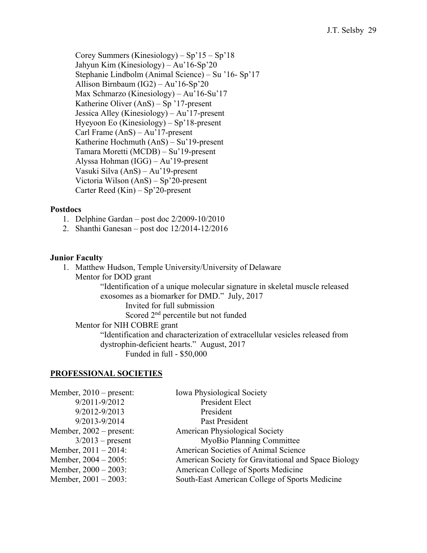Corey Summers (Kinesiology) – Sp'15 – Sp'18 Jahyun Kim (Kinesiology) – Au'16-Sp'20 Stephanie Lindbolm (Animal Science) – Su '16- Sp'17 Allison Birnbaum (IG2) – Au'16-Sp'20 Max Schmarzo (Kinesiology) – Au'16-Su'17 Katherine Oliver (AnS) – Sp '17-present Jessica Alley (Kinesiology) – Au'17-present Hyeyoon Eo (Kinesiology) – Sp'18-present Carl Frame (AnS) – Au'17-present Katherine Hochmuth (AnS) – Su'19-present Tamara Moretti (MCDB) – Su'19-present Alyssa Hohman (IGG) – Au'19-present Vasuki Silva (AnS) – Au'19-present Victoria Wilson (AnS) – Sp'20-present Carter Reed (Kin) – Sp'20-present

#### **Postdocs**

- 1. Delphine Gardan post doc 2/2009-10/2010
- 2. Shanthi Ganesan post doc 12/2014-12/2016

#### **Junior Faculty**

1. Matthew Hudson, Temple University/University of Delaware Mentor for DOD grant "Identification of a unique molecular signature in skeletal muscle released exosomes as a biomarker for DMD." July, 2017 Invited for full submission Scored 2<sup>nd</sup> percentile but not funded Mentor for NIH COBRE grant "Identification and characterization of extracellular vesicles released from dystrophin-deficient hearts." August, 2017 Funded in full - \$50,000

#### **PROFESSIONAL SOCIETIES**

| Member, $2010$ – present: | <b>Iowa Physiological Society</b>                    |
|---------------------------|------------------------------------------------------|
| 9/2011-9/2012             | President Elect                                      |
| 9/2012-9/2013             | President                                            |
| 9/2013-9/2014             | Past President                                       |
| Member, $2002$ – present: | <b>American Physiological Society</b>                |
| $3/2013$ – present        | MyoBio Planning Committee                            |
| Member, $2011 - 2014$ :   | American Societies of Animal Science                 |
| Member, $2004 - 2005$ :   | American Society for Gravitational and Space Biology |
| Member, $2000 - 2003$ :   | American College of Sports Medicine                  |
| Member, $2001 - 2003$ :   | South-East American College of Sports Medicine       |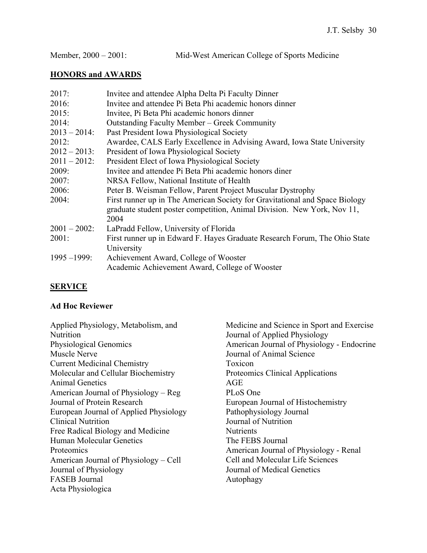## **HONORS and AWARDS**

| 2017:           | Invitee and attendee Alpha Delta Pi Faculty Dinner                          |
|-----------------|-----------------------------------------------------------------------------|
| 2016:           | Invitee and attendee Pi Beta Phi academic honors dinner                     |
| 2015:           | Invitee, Pi Beta Phi academic honors dinner                                 |
| 2014:           | <b>Outstanding Faculty Member – Greek Community</b>                         |
| $2013 - 2014$ : | Past President Iowa Physiological Society                                   |
| 2012:           | Awardee, CALS Early Excellence in Advising Award, Iowa State University     |
| $2012 - 2013$ : | President of Iowa Physiological Society                                     |
| $2011 - 2012$ : | President Elect of Iowa Physiological Society                               |
| 2009:           | Invitee and attendee Pi Beta Phi academic honors diner                      |
| 2007:           | NRSA Fellow, National Institute of Health                                   |
| 2006:           | Peter B. Weisman Fellow, Parent Project Muscular Dystrophy                  |
| 2004:           | First runner up in The American Society for Gravitational and Space Biology |
|                 | graduate student poster competition, Animal Division. New York, Nov 11,     |
|                 | 2004                                                                        |
| $2001 - 2002$ : | LaPradd Fellow, University of Florida                                       |
| 2001:           | First runner up in Edward F. Hayes Graduate Research Forum, The Ohio State  |
|                 | University                                                                  |
| $1995 - 1999$ : | Achievement Award, College of Wooster                                       |
|                 | Academic Achievement Award, College of Wooster                              |
|                 |                                                                             |

# **SERVICE**

# **Ad Hoc Reviewer**

| Applied Physiology, Metabolism, and<br>Nutrition | Medicine and Science in Sport and Exercise<br>Journal of Applied Physiology |
|--------------------------------------------------|-----------------------------------------------------------------------------|
| Physiological Genomics                           | American Journal of Physiology - Endocrine                                  |
| Muscle Nerve                                     | Journal of Animal Science                                                   |
| <b>Current Medicinal Chemistry</b>               | Toxicon                                                                     |
| Molecular and Cellular Biochemistry              | Proteomics Clinical Applications                                            |
| <b>Animal Genetics</b>                           | AGE                                                                         |
| American Journal of Physiology – Reg             | PLoS One                                                                    |
| Journal of Protein Research                      | European Journal of Histochemistry                                          |
| European Journal of Applied Physiology           | Pathophysiology Journal                                                     |
| <b>Clinical Nutrition</b>                        | Journal of Nutrition                                                        |
| Free Radical Biology and Medicine                | <b>Nutrients</b>                                                            |
| Human Molecular Genetics                         | The FEBS Journal                                                            |
| Proteomics                                       | American Journal of Physiology - Renal                                      |
| American Journal of Physiology – Cell            | Cell and Molecular Life Sciences                                            |
| Journal of Physiology                            | Journal of Medical Genetics                                                 |
| <b>FASEB</b> Journal                             | Autophagy                                                                   |
| Acta Physiologica                                |                                                                             |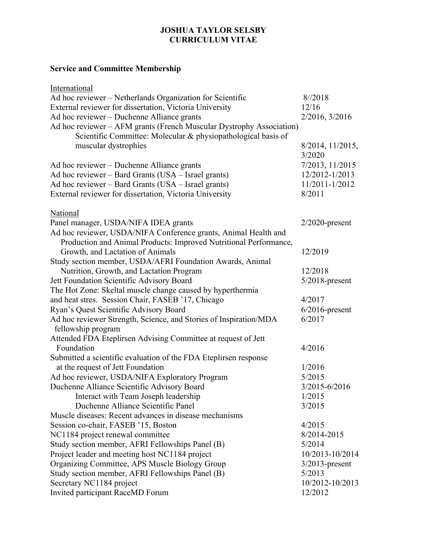## **JOSHUA TAYLOR SELSBY CURRICULUM VITAE**

# **Service and Committee Membership**

| International                                                        |                   |
|----------------------------------------------------------------------|-------------------|
| Ad hoc reviewer – Netherlands Organization for Scientific            | 8/2018            |
| External reviewer for dissertation, Victoria University              | 12/16             |
| Ad hoc reviewer – Duchenne Alliance grants                           | 2/2016, 3/2016    |
| Ad hoc reviewer – AFM grants (French Muscular Dystrophy Association) |                   |
| Scientific Committee: Molecular & physiopathological basis of        |                   |
| muscular dystrophies                                                 | 8/2014, 11/2015,  |
|                                                                      | 3/2020            |
| Ad hoc reviewer – Duchenne Alliance grants                           | 7/2013, 11/2015   |
| Ad hoc reviewer – Bard Grants (USA – Israel grants)                  | 12/2012-1/2013    |
| Ad hoc reviewer – Bard Grants (USA – Israel grants)                  | 11/2011-1/2012    |
| External reviewer for dissertation, Victoria University              | 8/2011            |
| National                                                             |                   |
| Panel manager, USDA/NIFA IDEA grants                                 | $2/2020$ -present |
| Ad hoc reviewer, USDA/NIFA Conference grants, Animal Health and      |                   |
| Production and Animal Products: Improved Nutritional Performance,    |                   |
| Growth, and Lactation of Animals                                     | 12/2019           |
| Study section member, USDA/AFRI Foundation Awards, Animal            |                   |
| Nutrition, Growth, and Lactation Program                             | 12/2018           |
| Jett Foundation Scientific Advisory Board                            | $5/2018$ -present |
| The Hot Zone: Skeltal muscle change caused by hyperthermia           |                   |
| and heat stres. Session Chair, FASEB '17, Chicago                    | 4/2017            |
| Ryan's Quest Scientific Advisory Board                               | $6/2016$ -present |
| Ad hoc reviewer Strength, Science, and Stories of Inspiration/MDA    | 6/2017            |
| fellowship program                                                   |                   |
| Attended FDA Eteplirsen Advising Committee at request of Jett        |                   |
| Foundation                                                           | 4/2016            |
| Submitted a scientific evaluation of the FDA Eteplirsen response     |                   |
| at the request of Jett Foundation                                    | 1/2016            |
| Ad hoc reviewer, USDA/NIFA Exploratory Program                       | 5/2015            |
| Duchenne Alliance Scientific Advisory Board                          | 3/2015-6/2016     |
| Interact with Team Joseph leadership                                 | 1/2015            |
| Duchenne Alliance Scientific Panel                                   | 3/2015            |
| Muscle diseases: Recent advances in disease mechanisms               |                   |
| Session co-chair, FASEB '15, Boston                                  | 4/2015            |
| NC1184 project renewal committee                                     | 8/2014-2015       |
| Study section member, AFRI Fellowships Panel (B)                     | 5/2014            |
| Project leader and meeting host NC1184 project                       | 10/2013-10/2014   |
| Organizing Committee, APS Muscle Biology Group                       | $3/2013$ -present |
| Study section member, AFRI Fellowships Panel (B)                     | 5/2013            |
| Secretary NC1184 project                                             | 10/2012-10/2013   |
| Invited participant RaceMD Forum                                     | 12/2012           |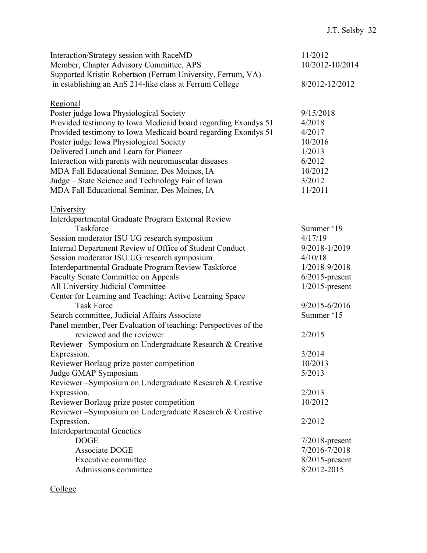| Supported Kristin Robertson (Ferrum University, Ferrum, VA)<br>in establishing an AnS 214-like class at Ferrum College<br>8/2012-12/2012<br>Regional<br>Poster judge Iowa Physiological Society<br>9/15/2018<br>Provided testimony to Iowa Medicaid board regarding Exondys 51<br>4/2018<br>Provided testimony to Iowa Medicaid board regarding Exondys 51<br>4/2017<br>Poster judge Iowa Physiological Society<br>10/2016<br>Delivered Lunch and Learn for Pioneer<br>1/2013<br>Interaction with parents with neuromuscular diseases<br>6/2012<br>MDA Fall Educational Seminar, Des Moines, IA<br>10/2012<br>Judge – State Science and Technology Fair of Iowa<br>3/2012<br>MDA Fall Educational Seminar, Des Moines, IA<br>11/2011<br>University<br>Interdepartmental Graduate Program External Review<br>Taskforce<br>Summer '19<br>Session moderator ISU UG research symposium<br>4/17/19<br>Internal Department Review of Office of Student Conduct<br>9/2018-1/2019<br>Session moderator ISU UG research symposium<br>4/10/18<br>Interdepartmental Graduate Program Review Taskforce<br>1/2018-9/2018<br><b>Faculty Senate Committee on Appeals</b><br>$6/2015$ -present<br>All University Judicial Committee<br>$1/2015$ -present<br>Center for Learning and Teaching: Active Learning Space<br><b>Task Force</b><br>9/2015-6/2016<br>Search committee, Judicial Affairs Associate<br>Summer '15<br>Panel member, Peer Evaluation of teaching: Perspectives of the<br>reviewed and the reviewer<br>2/2015<br>Reviewer-Symposium on Undergraduate Research & Creative<br>Expression.<br>3/2014<br>Reviewer Borlaug prize poster competition<br>10/2013<br>Judge GMAP Symposium<br>5/2013<br>Reviewer-Symposium on Undergraduate Research & Creative<br>Expression.<br>2/2013<br>Reviewer Borlaug prize poster competition<br>10/2012<br>Reviewer-Symposium on Undergraduate Research & Creative<br>Expression.<br>2/2012<br><b>Interdepartmental Genetics</b><br><b>DOGE</b><br>$7/2018$ -present<br>7/2016-7/2018<br>Associate DOGE<br>Executive committee<br>$8/2015$ -present<br>Admissions committee<br>8/2012-2015 | Interaction/Strategy session with RaceMD<br>Member, Chapter Advisory Committee, APS | 11/2012<br>10/2012-10/2014 |
|-------------------------------------------------------------------------------------------------------------------------------------------------------------------------------------------------------------------------------------------------------------------------------------------------------------------------------------------------------------------------------------------------------------------------------------------------------------------------------------------------------------------------------------------------------------------------------------------------------------------------------------------------------------------------------------------------------------------------------------------------------------------------------------------------------------------------------------------------------------------------------------------------------------------------------------------------------------------------------------------------------------------------------------------------------------------------------------------------------------------------------------------------------------------------------------------------------------------------------------------------------------------------------------------------------------------------------------------------------------------------------------------------------------------------------------------------------------------------------------------------------------------------------------------------------------------------------------------------------------------------------------------------------------------------------------------------------------------------------------------------------------------------------------------------------------------------------------------------------------------------------------------------------------------------------------------------------------------------------------------------------------------------------------------------------------------------------------------------------------------------------|-------------------------------------------------------------------------------------|----------------------------|
|                                                                                                                                                                                                                                                                                                                                                                                                                                                                                                                                                                                                                                                                                                                                                                                                                                                                                                                                                                                                                                                                                                                                                                                                                                                                                                                                                                                                                                                                                                                                                                                                                                                                                                                                                                                                                                                                                                                                                                                                                                                                                                                               |                                                                                     |                            |
|                                                                                                                                                                                                                                                                                                                                                                                                                                                                                                                                                                                                                                                                                                                                                                                                                                                                                                                                                                                                                                                                                                                                                                                                                                                                                                                                                                                                                                                                                                                                                                                                                                                                                                                                                                                                                                                                                                                                                                                                                                                                                                                               |                                                                                     |                            |
|                                                                                                                                                                                                                                                                                                                                                                                                                                                                                                                                                                                                                                                                                                                                                                                                                                                                                                                                                                                                                                                                                                                                                                                                                                                                                                                                                                                                                                                                                                                                                                                                                                                                                                                                                                                                                                                                                                                                                                                                                                                                                                                               |                                                                                     |                            |
|                                                                                                                                                                                                                                                                                                                                                                                                                                                                                                                                                                                                                                                                                                                                                                                                                                                                                                                                                                                                                                                                                                                                                                                                                                                                                                                                                                                                                                                                                                                                                                                                                                                                                                                                                                                                                                                                                                                                                                                                                                                                                                                               |                                                                                     |                            |
|                                                                                                                                                                                                                                                                                                                                                                                                                                                                                                                                                                                                                                                                                                                                                                                                                                                                                                                                                                                                                                                                                                                                                                                                                                                                                                                                                                                                                                                                                                                                                                                                                                                                                                                                                                                                                                                                                                                                                                                                                                                                                                                               |                                                                                     |                            |
|                                                                                                                                                                                                                                                                                                                                                                                                                                                                                                                                                                                                                                                                                                                                                                                                                                                                                                                                                                                                                                                                                                                                                                                                                                                                                                                                                                                                                                                                                                                                                                                                                                                                                                                                                                                                                                                                                                                                                                                                                                                                                                                               |                                                                                     |                            |
|                                                                                                                                                                                                                                                                                                                                                                                                                                                                                                                                                                                                                                                                                                                                                                                                                                                                                                                                                                                                                                                                                                                                                                                                                                                                                                                                                                                                                                                                                                                                                                                                                                                                                                                                                                                                                                                                                                                                                                                                                                                                                                                               |                                                                                     |                            |
|                                                                                                                                                                                                                                                                                                                                                                                                                                                                                                                                                                                                                                                                                                                                                                                                                                                                                                                                                                                                                                                                                                                                                                                                                                                                                                                                                                                                                                                                                                                                                                                                                                                                                                                                                                                                                                                                                                                                                                                                                                                                                                                               |                                                                                     |                            |
|                                                                                                                                                                                                                                                                                                                                                                                                                                                                                                                                                                                                                                                                                                                                                                                                                                                                                                                                                                                                                                                                                                                                                                                                                                                                                                                                                                                                                                                                                                                                                                                                                                                                                                                                                                                                                                                                                                                                                                                                                                                                                                                               |                                                                                     |                            |
|                                                                                                                                                                                                                                                                                                                                                                                                                                                                                                                                                                                                                                                                                                                                                                                                                                                                                                                                                                                                                                                                                                                                                                                                                                                                                                                                                                                                                                                                                                                                                                                                                                                                                                                                                                                                                                                                                                                                                                                                                                                                                                                               |                                                                                     |                            |
|                                                                                                                                                                                                                                                                                                                                                                                                                                                                                                                                                                                                                                                                                                                                                                                                                                                                                                                                                                                                                                                                                                                                                                                                                                                                                                                                                                                                                                                                                                                                                                                                                                                                                                                                                                                                                                                                                                                                                                                                                                                                                                                               |                                                                                     |                            |
|                                                                                                                                                                                                                                                                                                                                                                                                                                                                                                                                                                                                                                                                                                                                                                                                                                                                                                                                                                                                                                                                                                                                                                                                                                                                                                                                                                                                                                                                                                                                                                                                                                                                                                                                                                                                                                                                                                                                                                                                                                                                                                                               |                                                                                     |                            |
|                                                                                                                                                                                                                                                                                                                                                                                                                                                                                                                                                                                                                                                                                                                                                                                                                                                                                                                                                                                                                                                                                                                                                                                                                                                                                                                                                                                                                                                                                                                                                                                                                                                                                                                                                                                                                                                                                                                                                                                                                                                                                                                               |                                                                                     |                            |
|                                                                                                                                                                                                                                                                                                                                                                                                                                                                                                                                                                                                                                                                                                                                                                                                                                                                                                                                                                                                                                                                                                                                                                                                                                                                                                                                                                                                                                                                                                                                                                                                                                                                                                                                                                                                                                                                                                                                                                                                                                                                                                                               |                                                                                     |                            |
|                                                                                                                                                                                                                                                                                                                                                                                                                                                                                                                                                                                                                                                                                                                                                                                                                                                                                                                                                                                                                                                                                                                                                                                                                                                                                                                                                                                                                                                                                                                                                                                                                                                                                                                                                                                                                                                                                                                                                                                                                                                                                                                               |                                                                                     |                            |
|                                                                                                                                                                                                                                                                                                                                                                                                                                                                                                                                                                                                                                                                                                                                                                                                                                                                                                                                                                                                                                                                                                                                                                                                                                                                                                                                                                                                                                                                                                                                                                                                                                                                                                                                                                                                                                                                                                                                                                                                                                                                                                                               |                                                                                     |                            |
|                                                                                                                                                                                                                                                                                                                                                                                                                                                                                                                                                                                                                                                                                                                                                                                                                                                                                                                                                                                                                                                                                                                                                                                                                                                                                                                                                                                                                                                                                                                                                                                                                                                                                                                                                                                                                                                                                                                                                                                                                                                                                                                               |                                                                                     |                            |
|                                                                                                                                                                                                                                                                                                                                                                                                                                                                                                                                                                                                                                                                                                                                                                                                                                                                                                                                                                                                                                                                                                                                                                                                                                                                                                                                                                                                                                                                                                                                                                                                                                                                                                                                                                                                                                                                                                                                                                                                                                                                                                                               |                                                                                     |                            |
|                                                                                                                                                                                                                                                                                                                                                                                                                                                                                                                                                                                                                                                                                                                                                                                                                                                                                                                                                                                                                                                                                                                                                                                                                                                                                                                                                                                                                                                                                                                                                                                                                                                                                                                                                                                                                                                                                                                                                                                                                                                                                                                               |                                                                                     |                            |
|                                                                                                                                                                                                                                                                                                                                                                                                                                                                                                                                                                                                                                                                                                                                                                                                                                                                                                                                                                                                                                                                                                                                                                                                                                                                                                                                                                                                                                                                                                                                                                                                                                                                                                                                                                                                                                                                                                                                                                                                                                                                                                                               |                                                                                     |                            |
|                                                                                                                                                                                                                                                                                                                                                                                                                                                                                                                                                                                                                                                                                                                                                                                                                                                                                                                                                                                                                                                                                                                                                                                                                                                                                                                                                                                                                                                                                                                                                                                                                                                                                                                                                                                                                                                                                                                                                                                                                                                                                                                               |                                                                                     |                            |
|                                                                                                                                                                                                                                                                                                                                                                                                                                                                                                                                                                                                                                                                                                                                                                                                                                                                                                                                                                                                                                                                                                                                                                                                                                                                                                                                                                                                                                                                                                                                                                                                                                                                                                                                                                                                                                                                                                                                                                                                                                                                                                                               |                                                                                     |                            |
|                                                                                                                                                                                                                                                                                                                                                                                                                                                                                                                                                                                                                                                                                                                                                                                                                                                                                                                                                                                                                                                                                                                                                                                                                                                                                                                                                                                                                                                                                                                                                                                                                                                                                                                                                                                                                                                                                                                                                                                                                                                                                                                               |                                                                                     |                            |
|                                                                                                                                                                                                                                                                                                                                                                                                                                                                                                                                                                                                                                                                                                                                                                                                                                                                                                                                                                                                                                                                                                                                                                                                                                                                                                                                                                                                                                                                                                                                                                                                                                                                                                                                                                                                                                                                                                                                                                                                                                                                                                                               |                                                                                     |                            |
|                                                                                                                                                                                                                                                                                                                                                                                                                                                                                                                                                                                                                                                                                                                                                                                                                                                                                                                                                                                                                                                                                                                                                                                                                                                                                                                                                                                                                                                                                                                                                                                                                                                                                                                                                                                                                                                                                                                                                                                                                                                                                                                               |                                                                                     |                            |
|                                                                                                                                                                                                                                                                                                                                                                                                                                                                                                                                                                                                                                                                                                                                                                                                                                                                                                                                                                                                                                                                                                                                                                                                                                                                                                                                                                                                                                                                                                                                                                                                                                                                                                                                                                                                                                                                                                                                                                                                                                                                                                                               |                                                                                     |                            |
|                                                                                                                                                                                                                                                                                                                                                                                                                                                                                                                                                                                                                                                                                                                                                                                                                                                                                                                                                                                                                                                                                                                                                                                                                                                                                                                                                                                                                                                                                                                                                                                                                                                                                                                                                                                                                                                                                                                                                                                                                                                                                                                               |                                                                                     |                            |
|                                                                                                                                                                                                                                                                                                                                                                                                                                                                                                                                                                                                                                                                                                                                                                                                                                                                                                                                                                                                                                                                                                                                                                                                                                                                                                                                                                                                                                                                                                                                                                                                                                                                                                                                                                                                                                                                                                                                                                                                                                                                                                                               |                                                                                     |                            |
|                                                                                                                                                                                                                                                                                                                                                                                                                                                                                                                                                                                                                                                                                                                                                                                                                                                                                                                                                                                                                                                                                                                                                                                                                                                                                                                                                                                                                                                                                                                                                                                                                                                                                                                                                                                                                                                                                                                                                                                                                                                                                                                               |                                                                                     |                            |
|                                                                                                                                                                                                                                                                                                                                                                                                                                                                                                                                                                                                                                                                                                                                                                                                                                                                                                                                                                                                                                                                                                                                                                                                                                                                                                                                                                                                                                                                                                                                                                                                                                                                                                                                                                                                                                                                                                                                                                                                                                                                                                                               |                                                                                     |                            |
|                                                                                                                                                                                                                                                                                                                                                                                                                                                                                                                                                                                                                                                                                                                                                                                                                                                                                                                                                                                                                                                                                                                                                                                                                                                                                                                                                                                                                                                                                                                                                                                                                                                                                                                                                                                                                                                                                                                                                                                                                                                                                                                               |                                                                                     |                            |
|                                                                                                                                                                                                                                                                                                                                                                                                                                                                                                                                                                                                                                                                                                                                                                                                                                                                                                                                                                                                                                                                                                                                                                                                                                                                                                                                                                                                                                                                                                                                                                                                                                                                                                                                                                                                                                                                                                                                                                                                                                                                                                                               |                                                                                     |                            |
|                                                                                                                                                                                                                                                                                                                                                                                                                                                                                                                                                                                                                                                                                                                                                                                                                                                                                                                                                                                                                                                                                                                                                                                                                                                                                                                                                                                                                                                                                                                                                                                                                                                                                                                                                                                                                                                                                                                                                                                                                                                                                                                               |                                                                                     |                            |
|                                                                                                                                                                                                                                                                                                                                                                                                                                                                                                                                                                                                                                                                                                                                                                                                                                                                                                                                                                                                                                                                                                                                                                                                                                                                                                                                                                                                                                                                                                                                                                                                                                                                                                                                                                                                                                                                                                                                                                                                                                                                                                                               |                                                                                     |                            |
|                                                                                                                                                                                                                                                                                                                                                                                                                                                                                                                                                                                                                                                                                                                                                                                                                                                                                                                                                                                                                                                                                                                                                                                                                                                                                                                                                                                                                                                                                                                                                                                                                                                                                                                                                                                                                                                                                                                                                                                                                                                                                                                               |                                                                                     |                            |
|                                                                                                                                                                                                                                                                                                                                                                                                                                                                                                                                                                                                                                                                                                                                                                                                                                                                                                                                                                                                                                                                                                                                                                                                                                                                                                                                                                                                                                                                                                                                                                                                                                                                                                                                                                                                                                                                                                                                                                                                                                                                                                                               |                                                                                     |                            |
|                                                                                                                                                                                                                                                                                                                                                                                                                                                                                                                                                                                                                                                                                                                                                                                                                                                                                                                                                                                                                                                                                                                                                                                                                                                                                                                                                                                                                                                                                                                                                                                                                                                                                                                                                                                                                                                                                                                                                                                                                                                                                                                               |                                                                                     |                            |
|                                                                                                                                                                                                                                                                                                                                                                                                                                                                                                                                                                                                                                                                                                                                                                                                                                                                                                                                                                                                                                                                                                                                                                                                                                                                                                                                                                                                                                                                                                                                                                                                                                                                                                                                                                                                                                                                                                                                                                                                                                                                                                                               |                                                                                     |                            |
|                                                                                                                                                                                                                                                                                                                                                                                                                                                                                                                                                                                                                                                                                                                                                                                                                                                                                                                                                                                                                                                                                                                                                                                                                                                                                                                                                                                                                                                                                                                                                                                                                                                                                                                                                                                                                                                                                                                                                                                                                                                                                                                               |                                                                                     |                            |
|                                                                                                                                                                                                                                                                                                                                                                                                                                                                                                                                                                                                                                                                                                                                                                                                                                                                                                                                                                                                                                                                                                                                                                                                                                                                                                                                                                                                                                                                                                                                                                                                                                                                                                                                                                                                                                                                                                                                                                                                                                                                                                                               |                                                                                     |                            |

# College